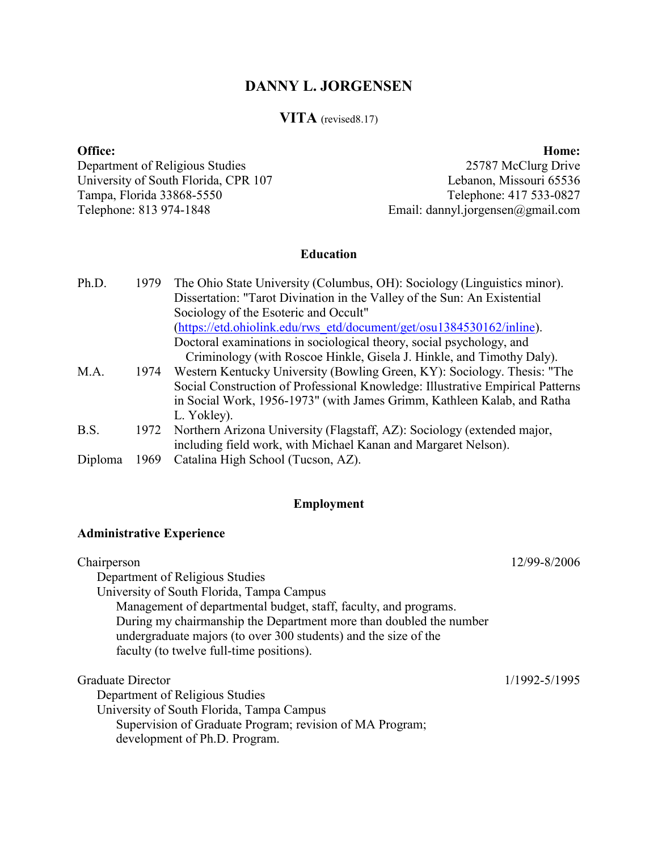# **DANNY L. JORGENSEN**

# **VITA** (revised8.17)

### **Office: Home:**

Department of Religious Studies 25787 McClurg Drive University of South Florida, CPR 107<br>
Tampa, Florida 33868-5550<br>
Telephone: 417 533-0827 Tampa, Florida 33868-5550<br>Telephone: 813 974-1848

Email: dannyl.jorgensen@gmail.com

# **Education**

| Ph.D.   | 1979 | The Ohio State University (Columbus, OH): Sociology (Linguistics minor).       |
|---------|------|--------------------------------------------------------------------------------|
|         |      | Dissertation: "Tarot Divination in the Valley of the Sun: An Existential       |
|         |      | Sociology of the Esoteric and Occult"                                          |
|         |      | (https://etd.ohiolink.edu/rws_etd/document/get/osu1384530162/inline).          |
|         |      | Doctoral examinations in sociological theory, social psychology, and           |
|         |      | Criminology (with Roscoe Hinkle, Gisela J. Hinkle, and Timothy Daly).          |
| M.A.    | 1974 | Western Kentucky University (Bowling Green, KY): Sociology. Thesis: "The       |
|         |      | Social Construction of Professional Knowledge: Illustrative Empirical Patterns |
|         |      | in Social Work, 1956-1973" (with James Grimm, Kathleen Kalab, and Ratha        |
|         |      | L. Yokley).                                                                    |
| B.S.    | 1972 | Northern Arizona University (Flagstaff, AZ): Sociology (extended major,        |
|         |      | including field work, with Michael Kanan and Margaret Nelson).                 |
| Dinloma | 969  | Catalina High School (Tucson, AZ)                                              |

#### Diploma 1969 Catalina High School (Tucson, AZ).

# **Employment**

# **Administrative Experience**

| Chairperson                                                                                                                           | 12/99-8/2006  |
|---------------------------------------------------------------------------------------------------------------------------------------|---------------|
| Department of Religious Studies                                                                                                       |               |
| University of South Florida, Tampa Campus                                                                                             |               |
| Management of departmental budget, staff, faculty, and programs.                                                                      |               |
| During my chairmanship the Department more than doubled the number<br>undergraduate majors (to over 300 students) and the size of the |               |
| faculty (to twelve full-time positions).                                                                                              |               |
| Graduate Director                                                                                                                     | 1/1992-5/1995 |
| Department of Religious Studies                                                                                                       |               |
| University of South Florida, Tampa Campus                                                                                             |               |
| Supervision of Graduate Program; revision of MA Program;                                                                              |               |
| development of Ph.D. Program.                                                                                                         |               |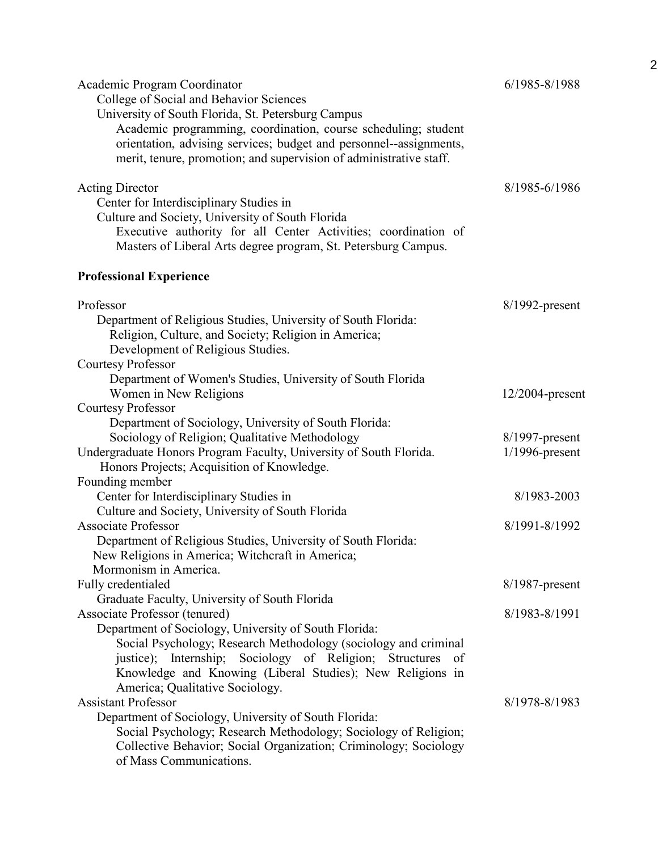| Academic Program Coordinator<br>College of Social and Behavior Sciences<br>University of South Florida, St. Petersburg Campus<br>Academic programming, coordination, course scheduling; student<br>orientation, advising services; budget and personnel--assignments,<br>merit, tenure, promotion; and supervision of administrative staff.                                                                                                                                                                                                          | 6/1985-8/1988                          |
|------------------------------------------------------------------------------------------------------------------------------------------------------------------------------------------------------------------------------------------------------------------------------------------------------------------------------------------------------------------------------------------------------------------------------------------------------------------------------------------------------------------------------------------------------|----------------------------------------|
| <b>Acting Director</b><br>Center for Interdisciplinary Studies in<br>Culture and Society, University of South Florida<br>Executive authority for all Center Activities; coordination of<br>Masters of Liberal Arts degree program, St. Petersburg Campus.                                                                                                                                                                                                                                                                                            | 8/1985-6/1986                          |
| <b>Professional Experience</b>                                                                                                                                                                                                                                                                                                                                                                                                                                                                                                                       |                                        |
| Professor<br>Department of Religious Studies, University of South Florida:<br>Religion, Culture, and Society; Religion in America;<br>Development of Religious Studies.<br><b>Courtesy Professor</b>                                                                                                                                                                                                                                                                                                                                                 | $8/1992$ -present                      |
| Department of Women's Studies, University of South Florida<br>Women in New Religions<br><b>Courtesy Professor</b>                                                                                                                                                                                                                                                                                                                                                                                                                                    | $12/2004$ -present                     |
| Department of Sociology, University of South Florida:<br>Sociology of Religion; Qualitative Methodology<br>Undergraduate Honors Program Faculty, University of South Florida.<br>Honors Projects; Acquisition of Knowledge.                                                                                                                                                                                                                                                                                                                          | $8/1997$ -present<br>$1/1996$ -present |
| Founding member<br>Center for Interdisciplinary Studies in                                                                                                                                                                                                                                                                                                                                                                                                                                                                                           | 8/1983-2003                            |
| Culture and Society, University of South Florida<br><b>Associate Professor</b><br>Department of Religious Studies, University of South Florida:<br>New Religions in America; Witchcraft in America;<br>Mormonism in America.                                                                                                                                                                                                                                                                                                                         | 8/1991-8/1992                          |
| Fully credentialed                                                                                                                                                                                                                                                                                                                                                                                                                                                                                                                                   | $8/1987$ -present                      |
| Graduate Faculty, University of South Florida<br>Associate Professor (tenured)                                                                                                                                                                                                                                                                                                                                                                                                                                                                       | 8/1983-8/1991                          |
| Department of Sociology, University of South Florida:<br>Social Psychology; Research Methodology (sociology and criminal<br>justice); Internship; Sociology of Religion; Structures<br>- of<br>Knowledge and Knowing (Liberal Studies); New Religions in<br>America; Qualitative Sociology.<br><b>Assistant Professor</b><br>Department of Sociology, University of South Florida:<br>Social Psychology; Research Methodology; Sociology of Religion;<br>Collective Behavior; Social Organization; Criminology; Sociology<br>of Mass Communications. | 8/1978-8/1983                          |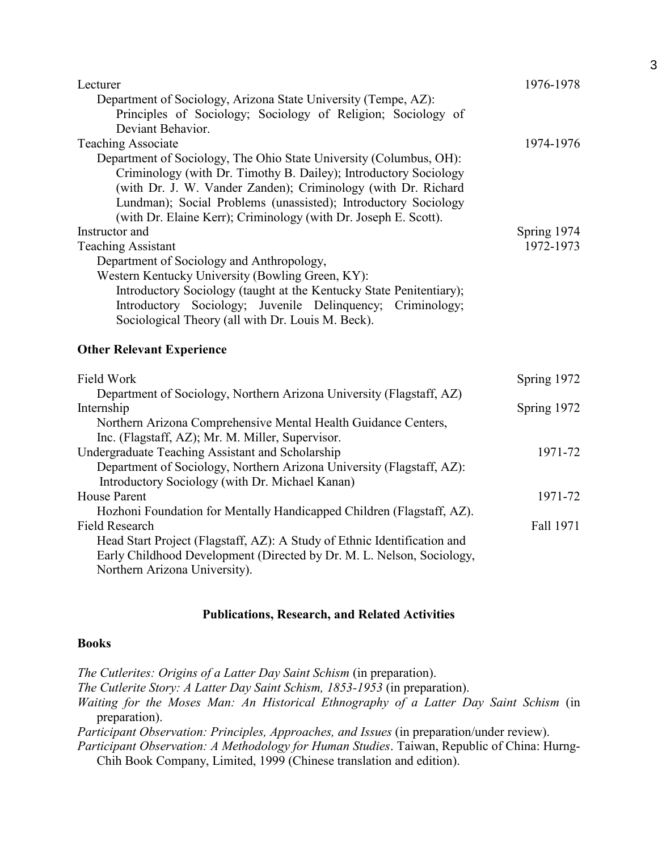| Lecturer<br>Department of Sociology, Arizona State University (Tempe, AZ):<br>Principles of Sociology; Sociology of Religion; Sociology of<br>Deviant Behavior.                                                                                                                                                                                                           | 1976-1978                |
|---------------------------------------------------------------------------------------------------------------------------------------------------------------------------------------------------------------------------------------------------------------------------------------------------------------------------------------------------------------------------|--------------------------|
| <b>Teaching Associate</b><br>Department of Sociology, The Ohio State University (Columbus, OH):<br>Criminology (with Dr. Timothy B. Dailey); Introductory Sociology<br>(with Dr. J. W. Vander Zanden); Criminology (with Dr. Richard<br>Lundman); Social Problems (unassisted); Introductory Sociology<br>(with Dr. Elaine Kerr); Criminology (with Dr. Joseph E. Scott). | 1974-1976                |
| Instructor and<br><b>Teaching Assistant</b><br>Department of Sociology and Anthropology,<br>Western Kentucky University (Bowling Green, KY):<br>Introductory Sociology (taught at the Kentucky State Penitentiary);<br>Introductory Sociology; Juvenile Delinquency; Criminology;<br>Sociological Theory (all with Dr. Louis M. Beck).                                    | Spring 1974<br>1972-1973 |
| <b>Other Relevant Experience</b>                                                                                                                                                                                                                                                                                                                                          |                          |
| Field Work                                                                                                                                                                                                                                                                                                                                                                | Spring 1972              |
| Department of Sociology, Northern Arizona University (Flagstaff, AZ)<br>Internship<br>Northern Arizona Comprehensive Mental Health Guidance Centers,<br>Inc. (Flagstaff, AZ); Mr. M. Miller, Supervisor.                                                                                                                                                                  | Spring 1972              |
| Undergraduate Teaching Assistant and Scholarship<br>Department of Sociology, Northern Arizona University (Flagstaff, AZ):<br>Introductory Sociology (with Dr. Michael Kanan)                                                                                                                                                                                              | 1971-72                  |
| <b>House Parent</b>                                                                                                                                                                                                                                                                                                                                                       | 1971-72                  |
| Hozhoni Foundation for Mentally Handicapped Children (Flagstaff, AZ).<br><b>Field Research</b><br>Head Start Project (Flagstaff, AZ): A Study of Ethnic Identification and<br>Early Childhood Development (Directed by Dr. M. L. Nelson, Sociology,                                                                                                                       | Fall 1971                |

Northern Arizona University).

# **Publications, Research, and Related Activities**

# **Books**

*The Cutlerites: Origins of a Latter Day Saint Schism* (in preparation). *The Cutlerite Story: A Latter Day Saint Schism, 1853-1953* (in preparation). *Waiting for the Moses Man: An Historical Ethnography of a Latter Day Saint Schism* (in preparation). *Participant Observation: Principles, Approaches, and Issues* (in preparation/under review). *Participant Observation: A Methodology for Human Studies*. Taiwan, Republic of China: Hurng-Chih Book Company, Limited, 1999 (Chinese translation and edition).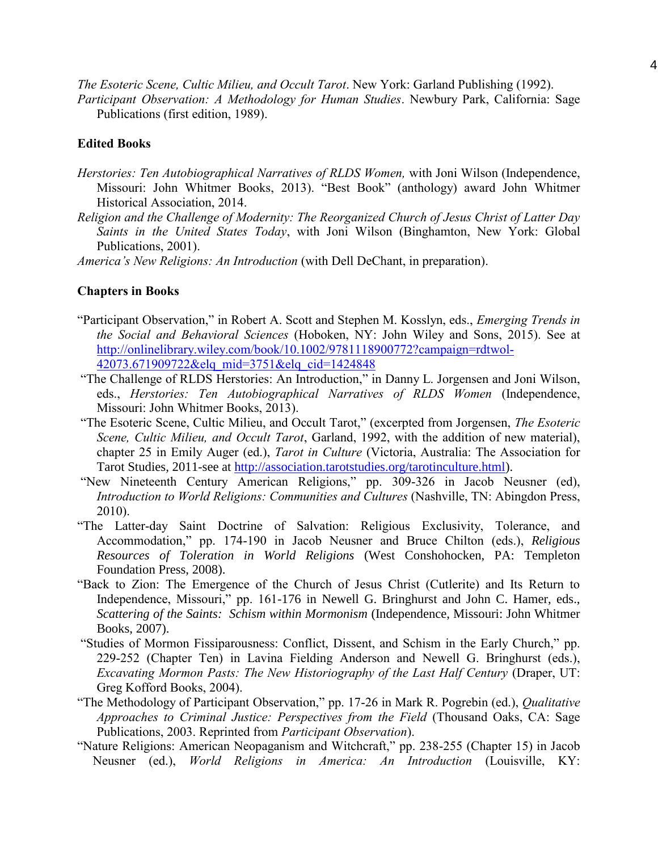*The Esoteric Scene, Cultic Milieu, and Occult Tarot*. New York: Garland Publishing (1992).

*Participant Observation: A Methodology for Human Studies*. Newbury Park, California: Sage Publications (first edition, 1989).

# **Edited Books**

- *Herstories: Ten Autobiographical Narratives of RLDS Women,* with Joni Wilson (Independence, Missouri: John Whitmer Books, 2013). "Best Book" (anthology) award John Whitmer Historical Association, 2014.
- *Religion and the Challenge of Modernity: The Reorganized Church of Jesus Christ of Latter Day Saints in the United States Today*, with Joni Wilson (Binghamton, New York: Global Publications, 2001).

*America's New Religions: An Introduction* (with Dell DeChant, in preparation).

# **Chapters in Books**

- "Participant Observation," in Robert A. Scott and Stephen M. Kosslyn, eds., *Emerging Trends in the Social and Behavioral Sciences* (Hoboken, NY: John Wiley and Sons, 2015). See at [http://onlinelibrary.wiley.com/book/10.1002/9781118900772?campaign=rdtwol-](http://onlinelibrary.wiley.com/book/10.1002/9781118900772?campaign=rdtwol-42073.671909722&elq_mid=3751&elq_cid=1424848)[42073.671909722&elq\\_mid=3751&elq\\_cid=1424848](http://onlinelibrary.wiley.com/book/10.1002/9781118900772?campaign=rdtwol-42073.671909722&elq_mid=3751&elq_cid=1424848)
- "The Challenge of RLDS Herstories: An Introduction," in Danny L. Jorgensen and Joni Wilson, eds., *Herstories: Ten Autobiographical Narratives of RLDS Women* (Independence, Missouri: John Whitmer Books, 2013).
- "The Esoteric Scene, Cultic Milieu, and Occult Tarot," (excerpted from Jorgensen, *The Esoteric Scene, Cultic Milieu, and Occult Tarot*, Garland, 1992, with the addition of new material), chapter 25 in Emily Auger (ed.), *Tarot in Culture* (Victoria, Australia: The Association for Tarot Studies, 2011-see at [http://association.tarotstudies.org/tarotinculture.html\)](http://association.tarotstudies.org/tarotinculture.html).
- "New Nineteenth Century American Religions," pp. 309-326 in Jacob Neusner (ed), *Introduction to World Religions: Communities and Cultures* (Nashville, TN: Abingdon Press, 2010).
- "The Latter-day Saint Doctrine of Salvation: Religious Exclusivity, Tolerance, and Accommodation," pp. 174-190 in Jacob Neusner and Bruce Chilton (eds.), *Religious Resources of Toleration in World Religions* (West Conshohocken, PA: Templeton Foundation Press, 2008).
- "Back to Zion: The Emergence of the Church of Jesus Christ (Cutlerite) and Its Return to Independence, Missouri," pp. 161-176 in Newell G. Bringhurst and John C. Hamer, eds., *Scattering of the Saints: Schism within Mormonism* (Independence, Missouri: John Whitmer Books, 2007).
- "Studies of Mormon Fissiparousness: Conflict, Dissent, and Schism in the Early Church," pp. 229-252 (Chapter Ten) in Lavina Fielding Anderson and Newell G. Bringhurst (eds.), *Excavating Mormon Pasts: The New Historiography of the Last Half Century* (Draper, UT: Greg Kofford Books, 2004).
- "The Methodology of Participant Observation," pp. 17-26 in Mark R. Pogrebin (ed.), *Qualitative Approaches to Criminal Justice: Perspectives from the Field* (Thousand Oaks, CA: Sage Publications, 2003. Reprinted from *Participant Observation*).
- "Nature Religions: American Neopaganism and Witchcraft," pp. 238-255 (Chapter 15) in Jacob Neusner (ed.), *World Religions in America: An Introduction* (Louisville, KY: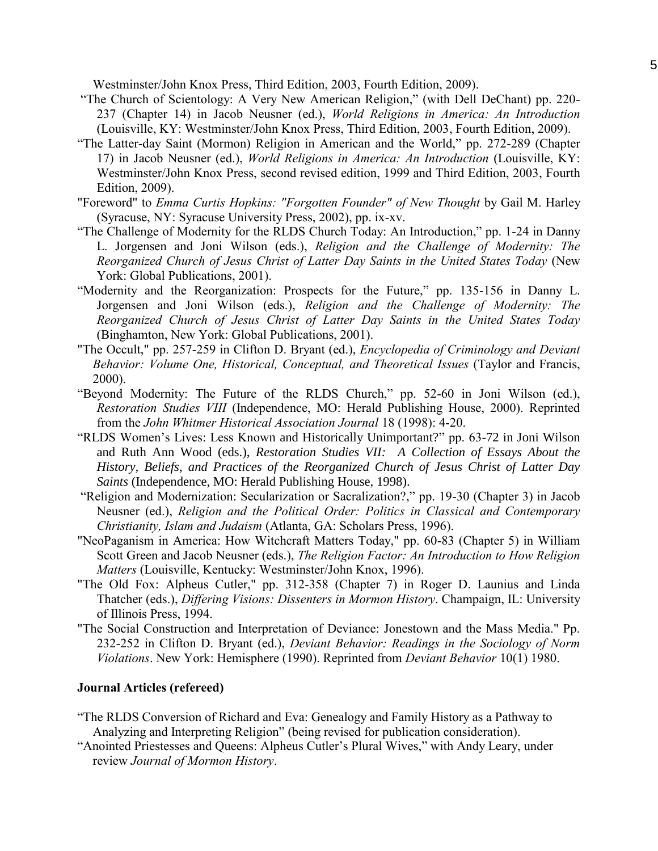Westminster/John Knox Press, Third Edition, 2003, Fourth Edition, 2009).

- "The Church of Scientology: A Very New American Religion," (with Dell DeChant) pp. 220- 237 (Chapter 14) in Jacob Neusner (ed.), *World Religions in America: An Introduction* (Louisville, KY: Westminster/John Knox Press, Third Edition, 2003, Fourth Edition, 2009).
- "The Latter-day Saint (Mormon) Religion in American and the World," pp. 272-289 (Chapter 17) in Jacob Neusner (ed.), *World Religions in America: An Introduction* (Louisville, KY: Westminster/John Knox Press, second revised edition, 1999 and Third Edition, 2003, Fourth Edition, 2009).
- "Foreword" to *Emma Curtis Hopkins: "Forgotten Founder" of New Thought* by Gail M. Harley (Syracuse, NY: Syracuse University Press, 2002), pp. ix-xv.
- "The Challenge of Modernity for the RLDS Church Today: An Introduction," pp. 1-24 in Danny L. Jorgensen and Joni Wilson (eds.), *Religion and the Challenge of Modernity: The Reorganized Church of Jesus Christ of Latter Day Saints in the United States Today* (New York: Global Publications, 2001).
- "Modernity and the Reorganization: Prospects for the Future," pp. 135-156 in Danny L. Jorgensen and Joni Wilson (eds.), *Religion and the Challenge of Modernity: The Reorganized Church of Jesus Christ of Latter Day Saints in the United States Today* (Binghamton, New York: Global Publications, 2001).
- "The Occult," pp. 257-259 in Clifton D. Bryant (ed.), *Encyclopedia of Criminology and Deviant Behavior: Volume One, Historical, Conceptual, and Theoretical Issues* (Taylor and Francis, 2000).
- "Beyond Modernity: The Future of the RLDS Church," pp. 52-60 in Joni Wilson (ed.), *Restoration Studies VIII* (Independence, MO: Herald Publishing House, 2000). Reprinted from the *John Whitmer Historical Association Journal* 18 (1998): 4-20.
- "RLDS Women's Lives: Less Known and Historically Unimportant?" pp. 63-72 in Joni Wilson and Ruth Ann Wood (eds.), *Restoration Studies VII: A Collection of Essays About the History, Beliefs, and Practices of the Reorganized Church of Jesus Christ of Latter Day Saints* (Independence, MO: Herald Publishing House, 1998).
- "Religion and Modernization: Secularization or Sacralization?," pp. 19-30 (Chapter 3) in Jacob Neusner (ed.), *Religion and the Political Order: Politics in Classical and Contemporary Christianity, Islam and Judaism* (Atlanta, GA: Scholars Press, 1996).
- "NeoPaganism in America: How Witchcraft Matters Today," pp. 60-83 (Chapter 5) in William Scott Green and Jacob Neusner (eds.), *The Religion Factor: An Introduction to How Religion Matters* (Louisville, Kentucky: Westminster/John Knox, 1996).
- "The Old Fox: Alpheus Cutler," pp. 312-358 (Chapter 7) in Roger D. Launius and Linda Thatcher (eds.), *Differing Visions: Dissenters in Mormon History*. Champaign, IL: University of Illinois Press, 1994.
- "The Social Construction and Interpretation of Deviance: Jonestown and the Mass Media." Pp. 232-252 in Clifton D. Bryant (ed.), *Deviant Behavior: Readings in the Sociology of Norm Violations*. New York: Hemisphere (1990). Reprinted from *Deviant Behavior* 10(1) 1980.

## **Journal Articles (refereed)**

- "The RLDS Conversion of Richard and Eva: Genealogy and Family History as a Pathway to Analyzing and Interpreting Religion" (being revised for publication consideration).
- "Anointed Priestesses and Queens: Alpheus Cutler's Plural Wives," with Andy Leary, under review *Journal of Mormon History*.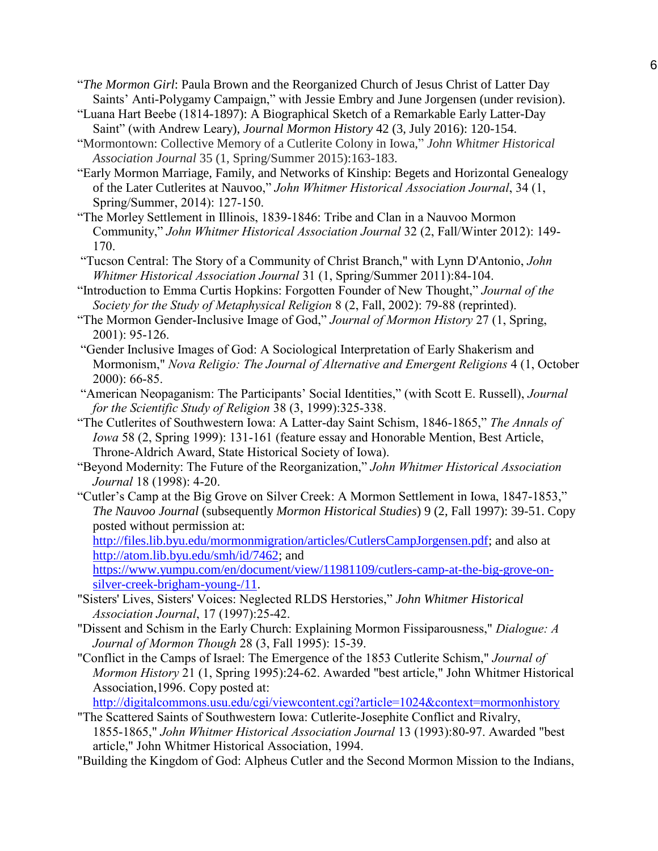- "*The Mormon Girl*: Paula Brown and the Reorganized Church of Jesus Christ of Latter Day Saints' Anti-Polygamy Campaign," with Jessie Embry and June Jorgensen (under revision).
- "Luana Hart Beebe (1814-1897): A Biographical Sketch of a Remarkable Early Latter-Day Saint" (with Andrew Leary), *Journal Mormon History* 42 (3, July 2016): 120-154.
- "Mormontown: Collective Memory of a Cutlerite Colony in Iowa," *John Whitmer Historical Association Journal* 35 (1, Spring/Summer 2015):163-183.
- "Early Mormon Marriage, Family, and Networks of Kinship: Begets and Horizontal Genealogy of the Later Cutlerites at Nauvoo," *John Whitmer Historical Association Journal*, 34 (1, Spring/Summer, 2014): 127-150.
- "The Morley Settlement in Illinois, 1839-1846: Tribe and Clan in a Nauvoo Mormon Community," *John Whitmer Historical Association Journal* 32 (2, Fall/Winter 2012): 149- 170.
- "Tucson Central: The Story of a Community of Christ Branch," with Lynn D'Antonio, *John Whitmer Historical Association Journal* 31 (1, Spring/Summer 2011):84-104.
- "Introduction to Emma Curtis Hopkins: Forgotten Founder of New Thought," *Journal of the Society for the Study of Metaphysical Religion* 8 (2, Fall, 2002): 79-88 (reprinted).
- "The Mormon Gender-Inclusive Image of God," *Journal of Mormon History* 27 (1, Spring, 2001): 95-126.
- "Gender Inclusive Images of God: A Sociological Interpretation of Early Shakerism and Mormonism," *Nova Religio: The Journal of Alternative and Emergent Religions* 4 (1, October 2000): 66-85.
- "American Neopaganism: The Participants' Social Identities," (with Scott E. Russell), *Journal for the Scientific Study of Religion* 38 (3, 1999):325-338.
- "The Cutlerites of Southwestern Iowa: A Latter-day Saint Schism, 1846-1865," *The Annals of Iowa* 58 (2, Spring 1999): 131-161 (feature essay and Honorable Mention, Best Article, Throne-Aldrich Award, State Historical Society of Iowa).
- "Beyond Modernity: The Future of the Reorganization," *John Whitmer Historical Association Journal* 18 (1998): 4-20.
- "Cutler's Camp at the Big Grove on Silver Creek: A Mormon Settlement in Iowa, 1847-1853," *The Nauvoo Journal* (subsequently *Mormon Historical Studies*) 9 (2, Fall 1997): 39-51. Copy posted without permission at:

[http://files.lib.byu.edu/mormonmigration/articles/CutlersCampJorgensen.pdf;](http://files.lib.byu.edu/mormonmigration/articles/CutlersCampJorgensen.pdf) and also at [http://atom.lib.byu.edu/smh/id/7462;](http://atom.lib.byu.edu/smh/id/7462) and

[https://www.yumpu.com/en/document/view/11981109/cutlers-camp-at-the-big-grove-on](https://www.yumpu.com/en/document/view/11981109/cutlers-camp-at-the-big-grove-on-silver-creek-brigham-young-/11)[silver-creek-brigham-young-/11.](https://www.yumpu.com/en/document/view/11981109/cutlers-camp-at-the-big-grove-on-silver-creek-brigham-young-/11)

- "Sisters' Lives, Sisters' Voices: Neglected RLDS Herstories," *John Whitmer Historical Association Journal*, 17 (1997):25-42.
- "Dissent and Schism in the Early Church: Explaining Mormon Fissiparousness," *Dialogue: A Journal of Mormon Though* 28 (3, Fall 1995): 15-39.
- "Conflict in the Camps of Israel: The Emergence of the 1853 Cutlerite Schism," *Journal of Mormon History* 21 (1, Spring 1995):24-62. Awarded "best article," John Whitmer Historical Association,1996. Copy posted at:

<http://digitalcommons.usu.edu/cgi/viewcontent.cgi?article=1024&context=mormonhistory>

"The Scattered Saints of Southwestern Iowa: Cutlerite-Josephite Conflict and Rivalry, 1855-1865," *John Whitmer Historical Association Journal* 13 (1993):80-97. Awarded "best article," John Whitmer Historical Association, 1994.

"Building the Kingdom of God: Alpheus Cutler and the Second Mormon Mission to the Indians,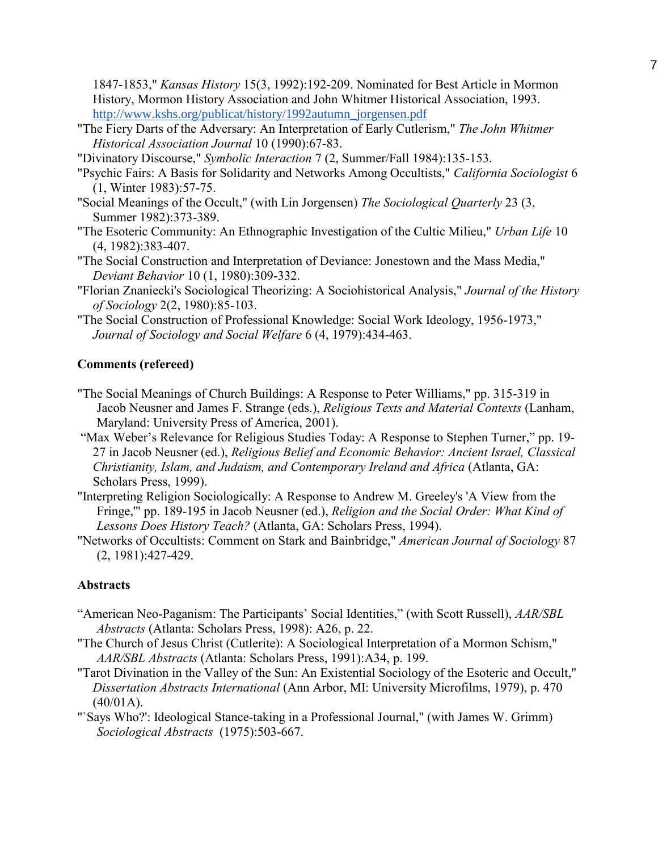1847-1853," *Kansas History* 15(3, 1992):192-209. Nominated for Best Article in Mormon History, Mormon History Association and John Whitmer Historical Association, 1993. [http://www.kshs.org/publicat/history/1992autumn\\_jorgensen.pdf](http://www.kshs.org/publicat/history/1992autumn_jorgensen.pdf)

- "The Fiery Darts of the Adversary: An Interpretation of Early Cutlerism," *The John Whitmer Historical Association Journal* 10 (1990):67-83.
- "Divinatory Discourse," *Symbolic Interaction* 7 (2, Summer/Fall 1984):135-153.
- "Psychic Fairs: A Basis for Solidarity and Networks Among Occultists," *California Sociologist* 6 (1, Winter 1983):57-75.
- "Social Meanings of the Occult," (with Lin Jorgensen) *The Sociological Quarterly* 23 (3, Summer 1982):373-389.
- "The Esoteric Community: An Ethnographic Investigation of the Cultic Milieu," *Urban Life* 10 (4, 1982):383-407.
- "The Social Construction and Interpretation of Deviance: Jonestown and the Mass Media," *Deviant Behavior* 10 (1, 1980):309-332.
- "Florian Znaniecki's Sociological Theorizing: A Sociohistorical Analysis," *Journal of the History of Sociology* 2(2, 1980):85-103.
- "The Social Construction of Professional Knowledge: Social Work Ideology, 1956-1973," *Journal of Sociology and Social Welfare* 6 (4, 1979):434-463.

# **Comments (refereed)**

- "The Social Meanings of Church Buildings: A Response to Peter Williams," pp. 315-319 in Jacob Neusner and James F. Strange (eds.), *Religious Texts and Material Contexts* (Lanham, Maryland: University Press of America, 2001).
- "Max Weber's Relevance for Religious Studies Today: A Response to Stephen Turner," pp. 19- 27 in Jacob Neusner (ed.), *Religious Belief and Economic Behavior: Ancient Israel, Classical Christianity, Islam, and Judaism, and Contemporary Ireland and Africa* (Atlanta, GA: Scholars Press, 1999).
- "Interpreting Religion Sociologically: A Response to Andrew M. Greeley's 'A View from the Fringe,'" pp. 189-195 in Jacob Neusner (ed.), *Religion and the Social Order: What Kind of Lessons Does History Teach?* (Atlanta, GA: Scholars Press, 1994).
- "Networks of Occultists: Comment on Stark and Bainbridge," *American Journal of Sociology* 87 (2, 1981):427-429.

# **Abstracts**

- "American Neo-Paganism: The Participants' Social Identities," (with Scott Russell), *AAR/SBL Abstracts* (Atlanta: Scholars Press, 1998): A26, p. 22.
- "The Church of Jesus Christ (Cutlerite): A Sociological Interpretation of a Mormon Schism," *AAR/SBL Abstracts* (Atlanta: Scholars Press, 1991):A34, p. 199.
- "Tarot Divination in the Valley of the Sun: An Existential Sociology of the Esoteric and Occult," *Dissertation Abstracts International* (Ann Arbor, MI: University Microfilms, 1979), p. 470  $(40/01A)$ .
- "`Says Who?': Ideological Stance-taking in a Professional Journal," (with James W. Grimm) *Sociological Abstracts* (1975):503-667.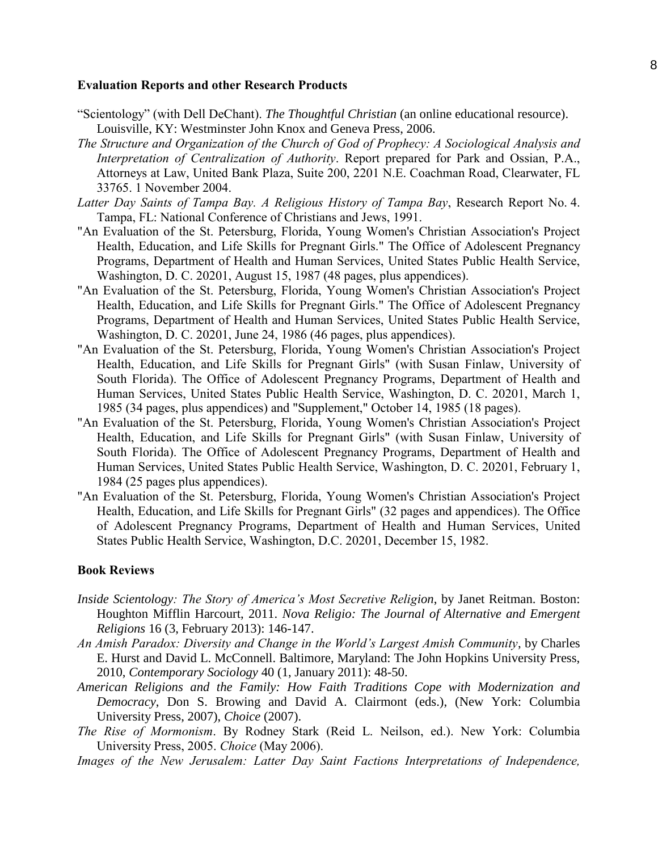#### **Evaluation Reports and other Research Products**

- "Scientology" (with Dell DeChant). *The Thoughtful Christian* (an online educational resource). Louisville, KY: Westminster John Knox and Geneva Press, 2006.
- *The Structure and Organization of the Church of God of Prophecy: A Sociological Analysis and Interpretation of Centralization of Authority*. Report prepared for Park and Ossian, P.A., Attorneys at Law, United Bank Plaza, Suite 200, 2201 N.E. Coachman Road, Clearwater, FL 33765. 1 November 2004.
- *Latter Day Saints of Tampa Bay. A Religious History of Tampa Bay*, Research Report No. 4. Tampa, FL: National Conference of Christians and Jews, 1991.
- "An Evaluation of the St. Petersburg, Florida, Young Women's Christian Association's Project Health, Education, and Life Skills for Pregnant Girls." The Office of Adolescent Pregnancy Programs, Department of Health and Human Services, United States Public Health Service, Washington, D. C. 20201, August 15, 1987 (48 pages, plus appendices).
- "An Evaluation of the St. Petersburg, Florida, Young Women's Christian Association's Project Health, Education, and Life Skills for Pregnant Girls." The Office of Adolescent Pregnancy Programs, Department of Health and Human Services, United States Public Health Service, Washington, D. C. 20201, June 24, 1986 (46 pages, plus appendices).
- "An Evaluation of the St. Petersburg, Florida, Young Women's Christian Association's Project Health, Education, and Life Skills for Pregnant Girls" (with Susan Finlaw, University of South Florida). The Office of Adolescent Pregnancy Programs, Department of Health and Human Services, United States Public Health Service, Washington, D. C. 20201, March 1, 1985 (34 pages, plus appendices) and "Supplement," October 14, 1985 (18 pages).
- "An Evaluation of the St. Petersburg, Florida, Young Women's Christian Association's Project Health, Education, and Life Skills for Pregnant Girls" (with Susan Finlaw, University of South Florida). The Office of Adolescent Pregnancy Programs, Department of Health and Human Services, United States Public Health Service, Washington, D. C. 20201, February 1, 1984 (25 pages plus appendices).
- "An Evaluation of the St. Petersburg, Florida, Young Women's Christian Association's Project Health, Education, and Life Skills for Pregnant Girls" (32 pages and appendices). The Office of Adolescent Pregnancy Programs, Department of Health and Human Services, United States Public Health Service, Washington, D.C. 20201, December 15, 1982.

## **Book Reviews**

- *Inside Scientology: The Story of America's Most Secretive Religion*, by Janet Reitman. Boston: Houghton Mifflin Harcourt, 2011. *Nova Religio: The Journal of Alternative and Emergent Religions* 16 (3, February 2013): 146-147.
- *An Amish Paradox: Diversity and Change in the World's Largest Amish Community*, by Charles E. Hurst and David L. McConnell. Baltimore, Maryland: The John Hopkins University Press, 2010, *Contemporary Sociology* 40 (1, January 2011): 48-50.
- *American Religions and the Family: How Faith Traditions Cope with Modernization and Democracy*, Don S. Browing and David A. Clairmont (eds.), (New York: Columbia University Press, 2007), *Choice* (2007).
- *The Rise of Mormonism*. By Rodney Stark (Reid L. Neilson, ed.). New York: Columbia University Press, 2005. *Choice* (May 2006).
- *Images of the New Jerusalem: Latter Day Saint Factions Interpretations of Independence,*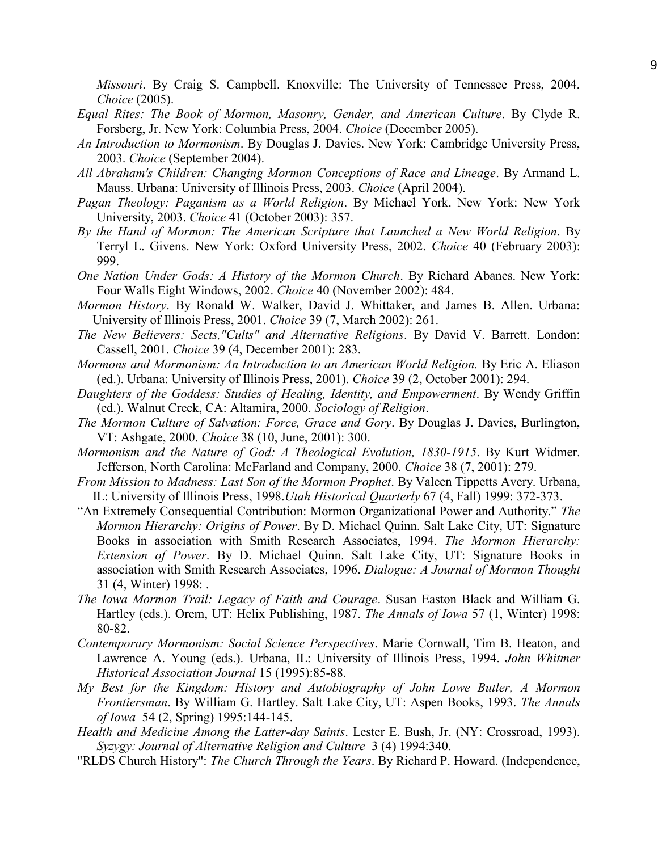*Missouri*. By Craig S. Campbell. Knoxville: The University of Tennessee Press, 2004. *Choice* (2005).

- *Equal Rites: The Book of Mormon, Masonry, Gender, and American Culture*. By Clyde R. Forsberg, Jr. New York: Columbia Press, 2004. *Choice* (December 2005).
- *An Introduction to Mormonism*. By Douglas J. Davies. New York: Cambridge University Press, 2003. *Choice* (September 2004).
- *All Abraham's Children: Changing Mormon Conceptions of Race and Lineage*. By Armand L. Mauss. Urbana: University of Illinois Press, 2003. *Choice* (April 2004).
- *Pagan Theology: Paganism as a World Religion*. By Michael York. New York: New York University, 2003. *Choice* 41 (October 2003): 357.
- *By the Hand of Mormon: The American Scripture that Launched a New World Religion*. By Terryl L. Givens. New York: Oxford University Press, 2002. *Choice* 40 (February 2003): 999.
- *One Nation Under Gods: A History of the Mormon Church*. By Richard Abanes. New York: Four Walls Eight Windows, 2002. *Choice* 40 (November 2002): 484.
- *Mormon History*. By Ronald W. Walker, David J. Whittaker, and James B. Allen. Urbana: University of Illinois Press, 2001. *Choice* 39 (7, March 2002): 261.
- *The New Believers: Sects,"Cults" and Alternative Religions*. By David V. Barrett. London: Cassell, 2001. *Choice* 39 (4, December 2001): 283.
- *Mormons and Mormonism: An Introduction to an American World Religion.* By Eric A. Eliason (ed.). Urbana: University of Illinois Press, 2001). *Choice* 39 (2, October 2001): 294.
- *Daughters of the Goddess: Studies of Healing, Identity, and Empowerment*. By Wendy Griffin (ed.). Walnut Creek, CA: Altamira, 2000. *Sociology of Religion*.
- *The Mormon Culture of Salvation: Force, Grace and Gory*. By Douglas J. Davies, Burlington, VT: Ashgate, 2000. *Choice* 38 (10, June, 2001): 300.
- *Mormonism and the Nature of God: A Theological Evolution, 1830-1915*. By Kurt Widmer. Jefferson, North Carolina: McFarland and Company, 2000. *Choice* 38 (7, 2001): 279.
- *From Mission to Madness: Last Son of the Mormon Prophet. By Valeen Tippetts Avery. Urbana,* IL: University of Illinois Press, 1998.*Utah Historical Quarterly* 67 (4, Fall) 1999: 372-373.
- "An Extremely Consequential Contribution: Mormon Organizational Power and Authority." *The Mormon Hierarchy: Origins of Power*. By D. Michael Quinn. Salt Lake City, UT: Signature Books in association with Smith Research Associates, 1994. *The Mormon Hierarchy: Extension of Power*. By D. Michael Quinn. Salt Lake City, UT: Signature Books in association with Smith Research Associates, 1996. *Dialogue: A Journal of Mormon Thought* 31 (4, Winter) 1998: .
- *The Iowa Mormon Trail: Legacy of Faith and Courage*. Susan Easton Black and William G. Hartley (eds.). Orem, UT: Helix Publishing, 1987. *The Annals of Iowa* 57 (1, Winter) 1998: 80-82.
- *Contemporary Mormonism: Social Science Perspectives*. Marie Cornwall, Tim B. Heaton, and Lawrence A. Young (eds.). Urbana, IL: University of Illinois Press, 1994. *John Whitmer Historical Association Journal* 15 (1995):85-88.
- *My Best for the Kingdom: History and Autobiography of John Lowe Butler, A Mormon Frontiersman*. By William G. Hartley. Salt Lake City, UT: Aspen Books, 1993. *The Annals of Iowa* 54 (2, Spring) 1995:144-145.
- *Health and Medicine Among the Latter-day Saints*. Lester E. Bush, Jr. (NY: Crossroad, 1993). *Syzygy: Journal of Alternative Religion and Culture* 3 (4) 1994:340.
- "RLDS Church History": *The Church Through the Years*. By Richard P. Howard. (Independence,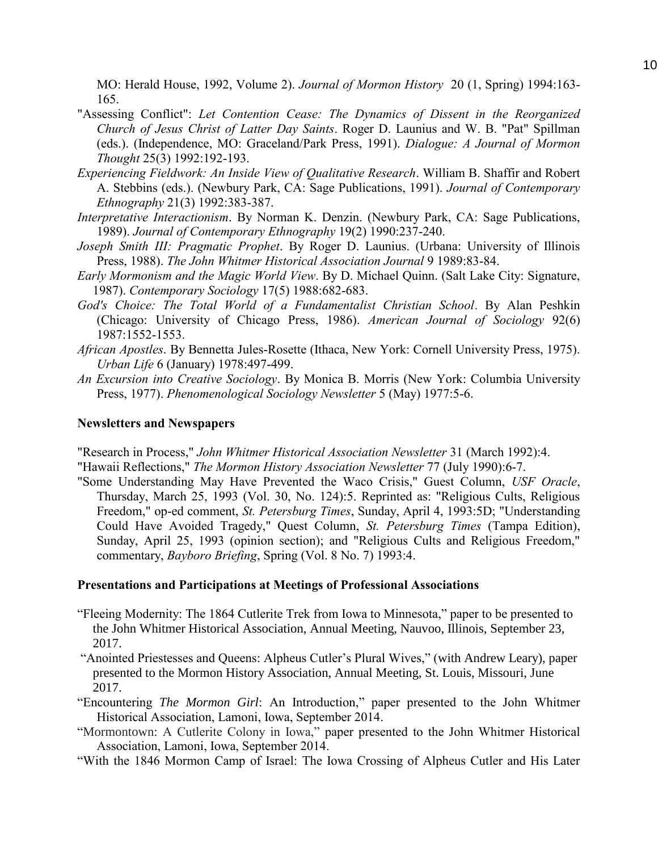MO: Herald House, 1992, Volume 2). *Journal of Mormon History* 20 (1, Spring) 1994:163- 165.

- "Assessing Conflict": *Let Contention Cease: The Dynamics of Dissent in the Reorganized Church of Jesus Christ of Latter Day Saints*. Roger D. Launius and W. B. "Pat" Spillman (eds.). (Independence, MO: Graceland/Park Press, 1991). *Dialogue: A Journal of Mormon Thought* 25(3) 1992:192-193.
- *Experiencing Fieldwork: An Inside View of Qualitative Research*. William B. Shaffir and Robert A. Stebbins (eds.). (Newbury Park, CA: Sage Publications, 1991). *Journal of Contemporary Ethnography* 21(3) 1992:383-387.
- *Interpretative Interactionism*. By Norman K. Denzin. (Newbury Park, CA: Sage Publications, 1989). *Journal of Contemporary Ethnography* 19(2) 1990:237-240.
- *Joseph Smith III: Pragmatic Prophet*. By Roger D. Launius. (Urbana: University of Illinois Press, 1988). *The John Whitmer Historical Association Journal* 9 1989:83-84.
- *Early Mormonism and the Magic World View*. By D. Michael Quinn. (Salt Lake City: Signature, 1987). *Contemporary Sociology* 17(5) 1988:682-683.
- *God's Choice: The Total World of a Fundamentalist Christian School*. By Alan Peshkin (Chicago: University of Chicago Press, 1986). *American Journal of Sociology* 92(6) 1987:1552-1553.
- *African Apostles*. By Bennetta Jules-Rosette (Ithaca, New York: Cornell University Press, 1975). *Urban Life* 6 (January) 1978:497-499.
- *An Excursion into Creative Sociology*. By Monica B. Morris (New York: Columbia University Press, 1977). *Phenomenological Sociology Newsletter* 5 (May) 1977:5-6.

# **Newsletters and Newspapers**

"Research in Process," *John Whitmer Historical Association Newsletter* 31 (March 1992):4. "Hawaii Reflections," *The Mormon History Association Newsletter* 77 (July 1990):6-7.

"Some Understanding May Have Prevented the Waco Crisis," Guest Column, *USF Oracle*, Thursday, March 25, 1993 (Vol. 30, No. 124):5. Reprinted as: "Religious Cults, Religious Freedom," op-ed comment, *St. Petersburg Times*, Sunday, April 4, 1993:5D; "Understanding Could Have Avoided Tragedy," Quest Column, *St. Petersburg Times* (Tampa Edition), Sunday, April 25, 1993 (opinion section); and "Religious Cults and Religious Freedom," commentary, *Bayboro Briefing*, Spring (Vol. 8 No. 7) 1993:4.

## **Presentations and Participations at Meetings of Professional Associations**

- "Fleeing Modernity: The 1864 Cutlerite Trek from Iowa to Minnesota," paper to be presented to the John Whitmer Historical Association, Annual Meeting, Nauvoo, Illinois, September 23, 2017.
- "Anointed Priestesses and Queens: Alpheus Cutler's Plural Wives," (with Andrew Leary), paper presented to the Mormon History Association, Annual Meeting, St. Louis, Missouri, June 2017.
- "Encountering *The Mormon Girl*: An Introduction," paper presented to the John Whitmer Historical Association, Lamoni, Iowa, September 2014.
- "Mormontown: A Cutlerite Colony in Iowa," paper presented to the John Whitmer Historical Association, Lamoni, Iowa, September 2014.
- "With the 1846 Mormon Camp of Israel: The Iowa Crossing of Alpheus Cutler and His Later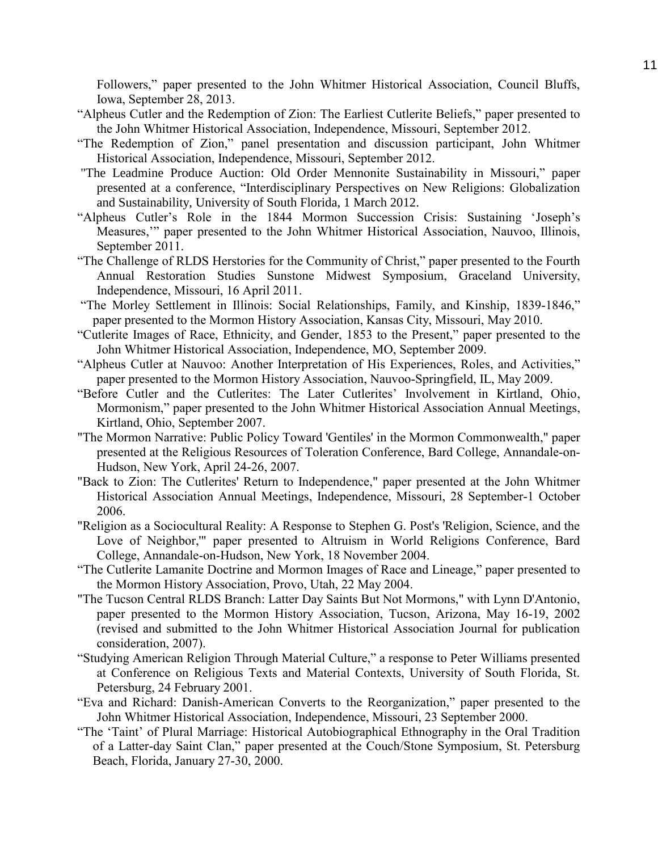Followers," paper presented to the John Whitmer Historical Association, Council Bluffs, Iowa, September 28, 2013.

- "Alpheus Cutler and the Redemption of Zion: The Earliest Cutlerite Beliefs," paper presented to the John Whitmer Historical Association, Independence, Missouri, September 2012.
- "The Redemption of Zion," panel presentation and discussion participant, John Whitmer Historical Association, Independence, Missouri, September 2012.
- "The Leadmine Produce Auction: Old Order Mennonite Sustainability in Missouri," paper presented at a conference, "Interdisciplinary Perspectives on New Religions: Globalization and Sustainability, University of South Florida, 1 March 2012.
- "Alpheus Cutler's Role in the 1844 Mormon Succession Crisis: Sustaining 'Joseph's Measures,'" paper presented to the John Whitmer Historical Association, Nauvoo, Illinois, September 2011.
- "The Challenge of RLDS Herstories for the Community of Christ," paper presented to the Fourth Annual Restoration Studies Sunstone Midwest Symposium, Graceland University, Independence, Missouri, 16 April 2011.
- "The Morley Settlement in Illinois: Social Relationships, Family, and Kinship, 1839-1846," paper presented to the Mormon History Association, Kansas City, Missouri, May 2010.
- "Cutlerite Images of Race, Ethnicity, and Gender, 1853 to the Present," paper presented to the John Whitmer Historical Association, Independence, MO, September 2009.
- "Alpheus Cutler at Nauvoo: Another Interpretation of His Experiences, Roles, and Activities," paper presented to the Mormon History Association, Nauvoo-Springfield, IL, May 2009.
- "Before Cutler and the Cutlerites: The Later Cutlerites' Involvement in Kirtland, Ohio, Mormonism," paper presented to the John Whitmer Historical Association Annual Meetings, Kirtland, Ohio, September 2007.
- "The Mormon Narrative: Public Policy Toward 'Gentiles' in the Mormon Commonwealth," paper presented at the Religious Resources of Toleration Conference, Bard College, Annandale-on-Hudson, New York, April 24-26, 2007.
- "Back to Zion: The Cutlerites' Return to Independence," paper presented at the John Whitmer Historical Association Annual Meetings, Independence, Missouri, 28 September-1 October 2006.
- "Religion as a Sociocultural Reality: A Response to Stephen G. Post's 'Religion, Science, and the Love of Neighbor,'" paper presented to Altruism in World Religions Conference, Bard College, Annandale-on-Hudson, New York, 18 November 2004.
- "The Cutlerite Lamanite Doctrine and Mormon Images of Race and Lineage," paper presented to the Mormon History Association, Provo, Utah, 22 May 2004.
- "The Tucson Central RLDS Branch: Latter Day Saints But Not Mormons," with Lynn D'Antonio, paper presented to the Mormon History Association, Tucson, Arizona, May 16-19, 2002 (revised and submitted to the John Whitmer Historical Association Journal for publication consideration, 2007).
- "Studying American Religion Through Material Culture," a response to Peter Williams presented at Conference on Religious Texts and Material Contexts, University of South Florida, St. Petersburg, 24 February 2001.
- "Eva and Richard: Danish-American Converts to the Reorganization," paper presented to the John Whitmer Historical Association, Independence, Missouri, 23 September 2000.
- "The 'Taint' of Plural Marriage: Historical Autobiographical Ethnography in the Oral Tradition of a Latter-day Saint Clan," paper presented at the Couch/Stone Symposium, St. Petersburg Beach, Florida, January 27-30, 2000.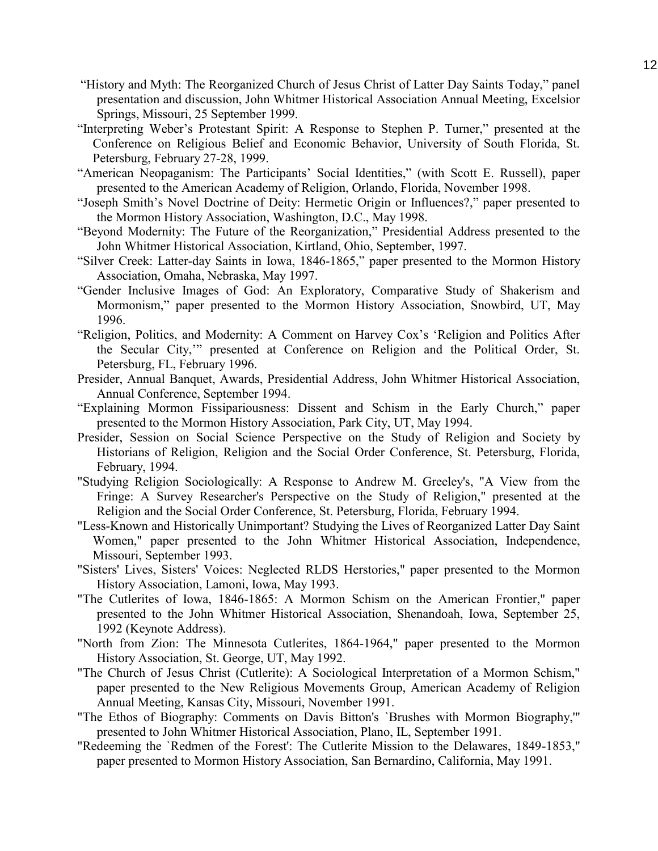- "History and Myth: The Reorganized Church of Jesus Christ of Latter Day Saints Today," panel presentation and discussion, John Whitmer Historical Association Annual Meeting, Excelsior Springs, Missouri, 25 September 1999.
- "Interpreting Weber's Protestant Spirit: A Response to Stephen P. Turner," presented at the Conference on Religious Belief and Economic Behavior, University of South Florida, St. Petersburg, February 27-28, 1999.
- "American Neopaganism: The Participants' Social Identities," (with Scott E. Russell), paper presented to the American Academy of Religion, Orlando, Florida, November 1998.
- "Joseph Smith's Novel Doctrine of Deity: Hermetic Origin or Influences?," paper presented to the Mormon History Association, Washington, D.C., May 1998.
- "Beyond Modernity: The Future of the Reorganization," Presidential Address presented to the John Whitmer Historical Association, Kirtland, Ohio, September, 1997.
- "Silver Creek: Latter-day Saints in Iowa, 1846-1865," paper presented to the Mormon History Association, Omaha, Nebraska, May 1997.
- "Gender Inclusive Images of God: An Exploratory, Comparative Study of Shakerism and Mormonism," paper presented to the Mormon History Association, Snowbird, UT, May 1996.
- "Religion, Politics, and Modernity: A Comment on Harvey Cox's 'Religion and Politics After the Secular City,'" presented at Conference on Religion and the Political Order, St. Petersburg, FL, February 1996.
- Presider, Annual Banquet, Awards, Presidential Address, John Whitmer Historical Association, Annual Conference, September 1994.
- "Explaining Mormon Fissipariousness: Dissent and Schism in the Early Church," paper presented to the Mormon History Association, Park City, UT, May 1994.
- Presider, Session on Social Science Perspective on the Study of Religion and Society by Historians of Religion, Religion and the Social Order Conference, St. Petersburg, Florida, February, 1994.
- "Studying Religion Sociologically: A Response to Andrew M. Greeley's, "A View from the Fringe: A Survey Researcher's Perspective on the Study of Religion," presented at the Religion and the Social Order Conference, St. Petersburg, Florida, February 1994.
- "Less-Known and Historically Unimportant? Studying the Lives of Reorganized Latter Day Saint Women," paper presented to the John Whitmer Historical Association, Independence, Missouri, September 1993.
- "Sisters' Lives, Sisters' Voices: Neglected RLDS Herstories," paper presented to the Mormon History Association, Lamoni, Iowa, May 1993.
- "The Cutlerites of Iowa, 1846-1865: A Mormon Schism on the American Frontier," paper presented to the John Whitmer Historical Association, Shenandoah, Iowa, September 25, 1992 (Keynote Address).
- "North from Zion: The Minnesota Cutlerites, 1864-1964," paper presented to the Mormon History Association, St. George, UT, May 1992.
- "The Church of Jesus Christ (Cutlerite): A Sociological Interpretation of a Mormon Schism," paper presented to the New Religious Movements Group, American Academy of Religion Annual Meeting, Kansas City, Missouri, November 1991.
- "The Ethos of Biography: Comments on Davis Bitton's `Brushes with Mormon Biography,'" presented to John Whitmer Historical Association, Plano, IL, September 1991.
- "Redeeming the `Redmen of the Forest': The Cutlerite Mission to the Delawares, 1849-1853," paper presented to Mormon History Association, San Bernardino, California, May 1991.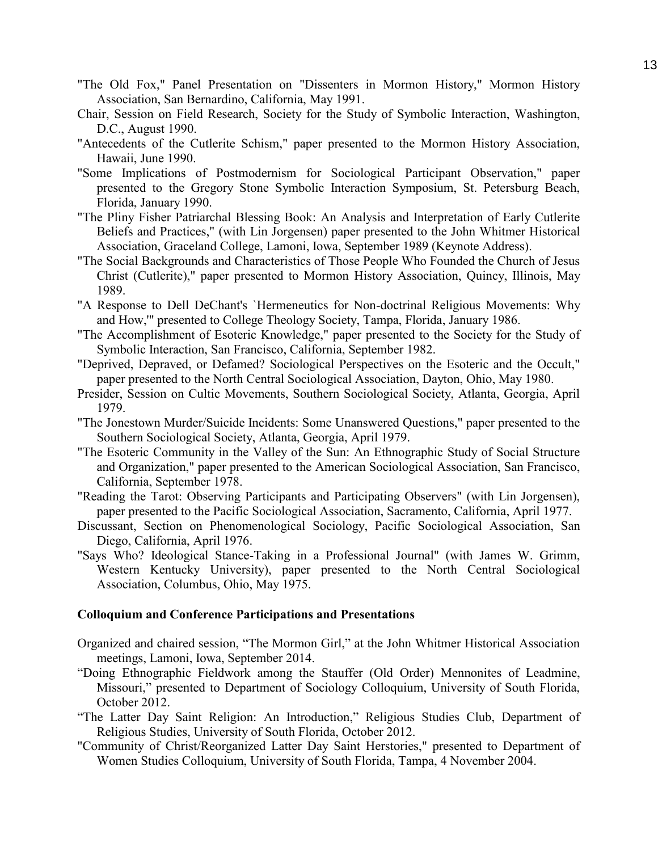- "The Old Fox," Panel Presentation on "Dissenters in Mormon History," Mormon History Association, San Bernardino, California, May 1991.
- Chair, Session on Field Research, Society for the Study of Symbolic Interaction, Washington, D.C., August 1990.
- "Antecedents of the Cutlerite Schism," paper presented to the Mormon History Association, Hawaii, June 1990.
- "Some Implications of Postmodernism for Sociological Participant Observation," paper presented to the Gregory Stone Symbolic Interaction Symposium, St. Petersburg Beach, Florida, January 1990.
- "The Pliny Fisher Patriarchal Blessing Book: An Analysis and Interpretation of Early Cutlerite Beliefs and Practices," (with Lin Jorgensen) paper presented to the John Whitmer Historical Association, Graceland College, Lamoni, Iowa, September 1989 (Keynote Address).
- "The Social Backgrounds and Characteristics of Those People Who Founded the Church of Jesus Christ (Cutlerite)," paper presented to Mormon History Association, Quincy, Illinois, May 1989.
- "A Response to Dell DeChant's `Hermeneutics for Non-doctrinal Religious Movements: Why and How,'" presented to College Theology Society, Tampa, Florida, January 1986.
- "The Accomplishment of Esoteric Knowledge," paper presented to the Society for the Study of Symbolic Interaction, San Francisco, California, September 1982.
- "Deprived, Depraved, or Defamed? Sociological Perspectives on the Esoteric and the Occult," paper presented to the North Central Sociological Association, Dayton, Ohio, May 1980.
- Presider, Session on Cultic Movements, Southern Sociological Society, Atlanta, Georgia, April 1979.
- "The Jonestown Murder/Suicide Incidents: Some Unanswered Questions," paper presented to the Southern Sociological Society, Atlanta, Georgia, April 1979.
- "The Esoteric Community in the Valley of the Sun: An Ethnographic Study of Social Structure and Organization," paper presented to the American Sociological Association, San Francisco, California, September 1978.
- "Reading the Tarot: Observing Participants and Participating Observers" (with Lin Jorgensen), paper presented to the Pacific Sociological Association, Sacramento, California, April 1977.
- Discussant, Section on Phenomenological Sociology, Pacific Sociological Association, San Diego, California, April 1976.
- "Says Who? Ideological Stance-Taking in a Professional Journal" (with James W. Grimm, Western Kentucky University), paper presented to the North Central Sociological Association, Columbus, Ohio, May 1975.

## **Colloquium and Conference Participations and Presentations**

- Organized and chaired session, "The Mormon Girl," at the John Whitmer Historical Association meetings, Lamoni, Iowa, September 2014.
- "Doing Ethnographic Fieldwork among the Stauffer (Old Order) Mennonites of Leadmine, Missouri," presented to Department of Sociology Colloquium, University of South Florida, October 2012.
- "The Latter Day Saint Religion: An Introduction," Religious Studies Club, Department of Religious Studies, University of South Florida, October 2012.
- "Community of Christ/Reorganized Latter Day Saint Herstories," presented to Department of Women Studies Colloquium, University of South Florida, Tampa, 4 November 2004.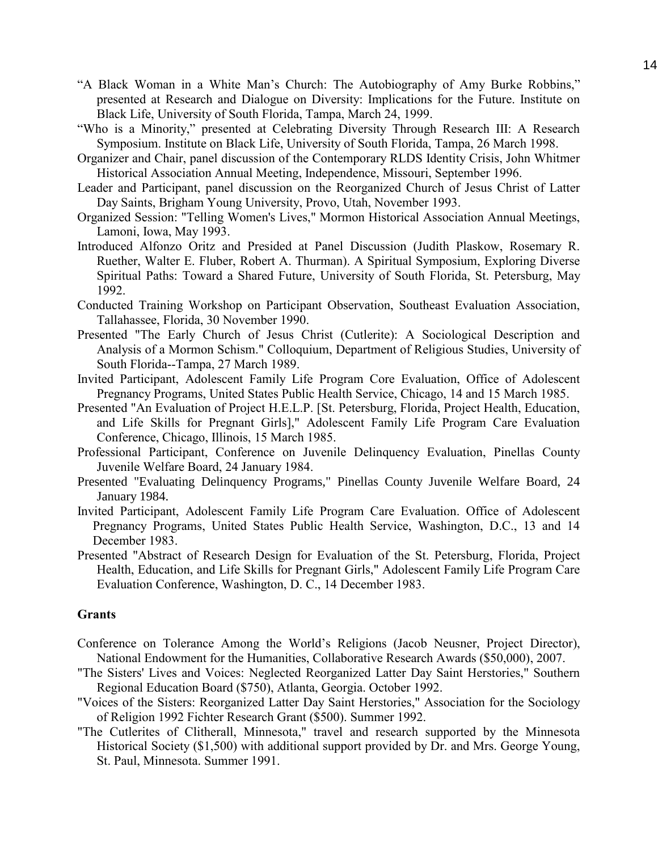- "A Black Woman in a White Man's Church: The Autobiography of Amy Burke Robbins," presented at Research and Dialogue on Diversity: Implications for the Future. Institute on Black Life, University of South Florida, Tampa, March 24, 1999.
- "Who is a Minority," presented at Celebrating Diversity Through Research III: A Research Symposium. Institute on Black Life, University of South Florida, Tampa, 26 March 1998.
- Organizer and Chair, panel discussion of the Contemporary RLDS Identity Crisis, John Whitmer Historical Association Annual Meeting, Independence, Missouri, September 1996.
- Leader and Participant, panel discussion on the Reorganized Church of Jesus Christ of Latter Day Saints, Brigham Young University, Provo, Utah, November 1993.
- Organized Session: "Telling Women's Lives," Mormon Historical Association Annual Meetings, Lamoni, Iowa, May 1993.
- Introduced Alfonzo Oritz and Presided at Panel Discussion (Judith Plaskow, Rosemary R. Ruether, Walter E. Fluber, Robert A. Thurman). A Spiritual Symposium, Exploring Diverse Spiritual Paths: Toward a Shared Future, University of South Florida, St. Petersburg, May 1992.
- Conducted Training Workshop on Participant Observation, Southeast Evaluation Association, Tallahassee, Florida, 30 November 1990.
- Presented "The Early Church of Jesus Christ (Cutlerite): A Sociological Description and Analysis of a Mormon Schism." Colloquium, Department of Religious Studies, University of South Florida--Tampa, 27 March 1989.
- Invited Participant, Adolescent Family Life Program Core Evaluation, Office of Adolescent Pregnancy Programs, United States Public Health Service, Chicago, 14 and 15 March 1985.
- Presented "An Evaluation of Project H.E.L.P. [St. Petersburg, Florida, Project Health, Education, and Life Skills for Pregnant Girls]," Adolescent Family Life Program Care Evaluation Conference, Chicago, Illinois, 15 March 1985.
- Professional Participant, Conference on Juvenile Delinquency Evaluation, Pinellas County Juvenile Welfare Board, 24 January 1984.
- Presented "Evaluating Delinquency Programs," Pinellas County Juvenile Welfare Board, 24 January 1984.
- Invited Participant, Adolescent Family Life Program Care Evaluation. Office of Adolescent Pregnancy Programs, United States Public Health Service, Washington, D.C., 13 and 14 December 1983.
- Presented "Abstract of Research Design for Evaluation of the St. Petersburg, Florida, Project Health, Education, and Life Skills for Pregnant Girls," Adolescent Family Life Program Care Evaluation Conference, Washington, D. C., 14 December 1983.

## **Grants**

- Conference on Tolerance Among the World's Religions (Jacob Neusner, Project Director), National Endowment for the Humanities, Collaborative Research Awards (\$50,000), 2007.
- "The Sisters' Lives and Voices: Neglected Reorganized Latter Day Saint Herstories," Southern Regional Education Board (\$750), Atlanta, Georgia. October 1992.
- "Voices of the Sisters: Reorganized Latter Day Saint Herstories," Association for the Sociology of Religion 1992 Fichter Research Grant (\$500). Summer 1992.
- "The Cutlerites of Clitherall, Minnesota," travel and research supported by the Minnesota Historical Society (\$1,500) with additional support provided by Dr. and Mrs. George Young, St. Paul, Minnesota. Summer 1991.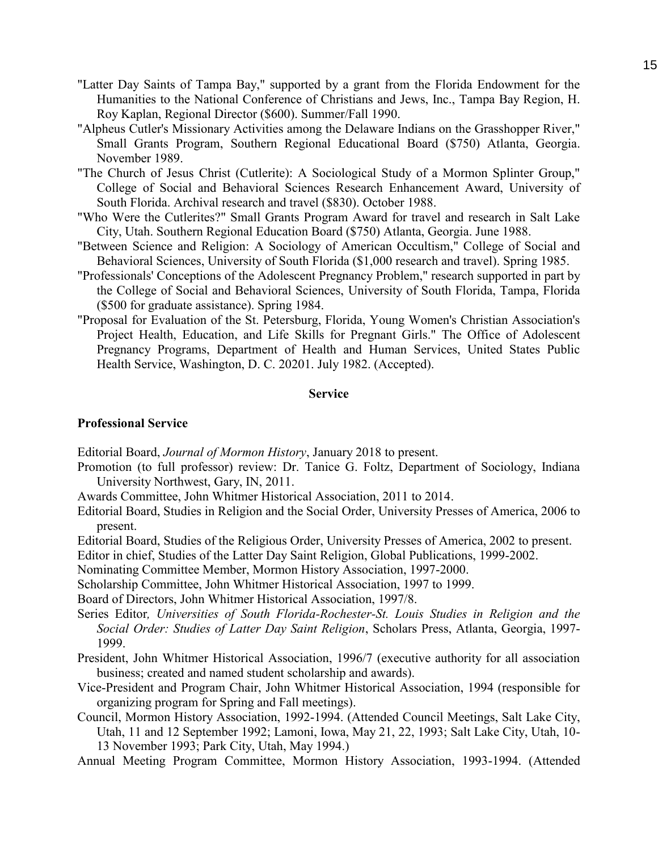- "Latter Day Saints of Tampa Bay," supported by a grant from the Florida Endowment for the Humanities to the National Conference of Christians and Jews, Inc., Tampa Bay Region, H. Roy Kaplan, Regional Director (\$600). Summer/Fall 1990.
- "Alpheus Cutler's Missionary Activities among the Delaware Indians on the Grasshopper River," Small Grants Program, Southern Regional Educational Board (\$750) Atlanta, Georgia. November 1989.
- "The Church of Jesus Christ (Cutlerite): A Sociological Study of a Mormon Splinter Group," College of Social and Behavioral Sciences Research Enhancement Award, University of South Florida. Archival research and travel (\$830). October 1988.
- "Who Were the Cutlerites?" Small Grants Program Award for travel and research in Salt Lake City, Utah. Southern Regional Education Board (\$750) Atlanta, Georgia. June 1988.
- "Between Science and Religion: A Sociology of American Occultism," College of Social and Behavioral Sciences, University of South Florida (\$1,000 research and travel). Spring 1985.
- "Professionals' Conceptions of the Adolescent Pregnancy Problem," research supported in part by the College of Social and Behavioral Sciences, University of South Florida, Tampa, Florida (\$500 for graduate assistance). Spring 1984.
- "Proposal for Evaluation of the St. Petersburg, Florida, Young Women's Christian Association's Project Health, Education, and Life Skills for Pregnant Girls." The Office of Adolescent Pregnancy Programs, Department of Health and Human Services, United States Public Health Service, Washington, D. C. 20201. July 1982. (Accepted).

#### **Service**

#### **Professional Service**

Editorial Board, *Journal of Mormon History*, January 2018 to present.

- Promotion (to full professor) review: Dr. Tanice G. Foltz, Department of Sociology, Indiana University Northwest, Gary, IN, 2011.
- Awards Committee, John Whitmer Historical Association, 2011 to 2014.
- Editorial Board, Studies in Religion and the Social Order, University Presses of America, 2006 to present.
- Editorial Board, Studies of the Religious Order, University Presses of America, 2002 to present.

Editor in chief, Studies of the Latter Day Saint Religion, Global Publications, 1999-2002.

Nominating Committee Member, Mormon History Association, 1997-2000.

Scholarship Committee, John Whitmer Historical Association, 1997 to 1999.

Board of Directors, John Whitmer Historical Association, 1997/8.

- Series Editor*, Universities of South Florida-Rochester-St. Louis Studies in Religion and the Social Order: Studies of Latter Day Saint Religion*, Scholars Press, Atlanta, Georgia, 1997- 1999.
- President, John Whitmer Historical Association, 1996/7 (executive authority for all association business; created and named student scholarship and awards).
- Vice-President and Program Chair, John Whitmer Historical Association, 1994 (responsible for organizing program for Spring and Fall meetings).
- Council, Mormon History Association, 1992-1994. (Attended Council Meetings, Salt Lake City, Utah, 11 and 12 September 1992; Lamoni, Iowa, May 21, 22, 1993; Salt Lake City, Utah, 10- 13 November 1993; Park City, Utah, May 1994.)

Annual Meeting Program Committee, Mormon History Association, 1993-1994. (Attended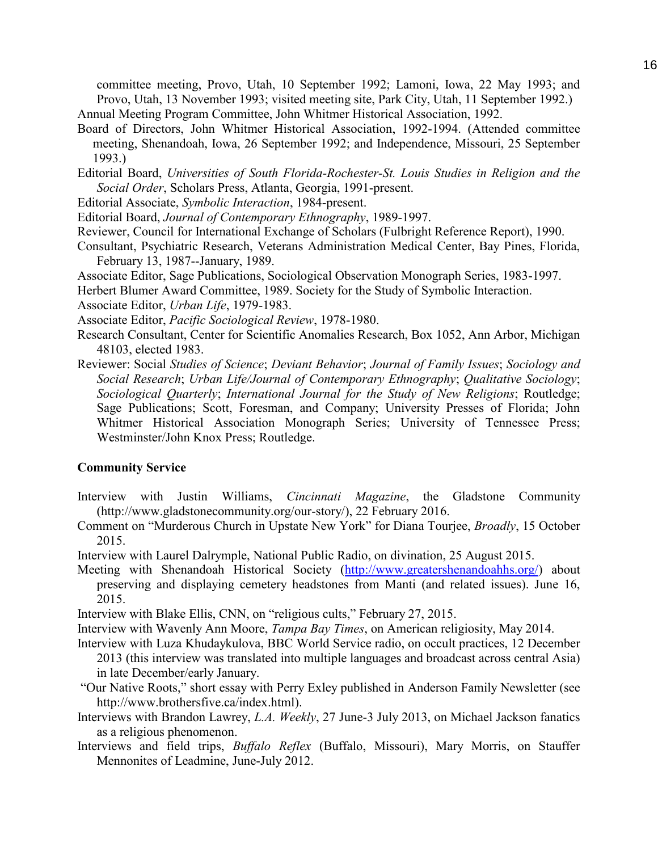committee meeting, Provo, Utah, 10 September 1992; Lamoni, Iowa, 22 May 1993; and Provo, Utah, 13 November 1993; visited meeting site, Park City, Utah, 11 September 1992.)

Annual Meeting Program Committee, John Whitmer Historical Association, 1992.

- Board of Directors, John Whitmer Historical Association, 1992-1994. (Attended committee meeting, Shenandoah, Iowa, 26 September 1992; and Independence, Missouri, 25 September 1993.)
- Editorial Board, *Universities of South Florida-Rochester-St. Louis Studies in Religion and the Social Order*, Scholars Press, Atlanta, Georgia, 1991-present.
- Editorial Associate, *Symbolic Interaction*, 1984-present.
- Editorial Board, *Journal of Contemporary Ethnography*, 1989-1997.
- Reviewer, Council for International Exchange of Scholars (Fulbright Reference Report), 1990.
- Consultant, Psychiatric Research, Veterans Administration Medical Center, Bay Pines, Florida, February 13, 1987--January, 1989.
- Associate Editor, Sage Publications, Sociological Observation Monograph Series, 1983-1997.
- Herbert Blumer Award Committee, 1989. Society for the Study of Symbolic Interaction.
- Associate Editor, *Urban Life*, 1979-1983.
- Associate Editor, *Pacific Sociological Review*, 1978-1980.
- Research Consultant, Center for Scientific Anomalies Research, Box 1052, Ann Arbor, Michigan 48103, elected 1983.
- Reviewer: Social *Studies of Science*; *Deviant Behavior*; *Journal of Family Issues*; *Sociology and Social Research*; *Urban Life/Journal of Contemporary Ethnography*; *Qualitative Sociology*; *Sociological Quarterly*; *International Journal for the Study of New Religions*; Routledge; Sage Publications; Scott, Foresman, and Company; University Presses of Florida; John Whitmer Historical Association Monograph Series; University of Tennessee Press; Westminster/John Knox Press; Routledge.

# **Community Service**

- Interview with Justin Williams, *Cincinnati Magazine*, the Gladstone Community (http://www.gladstonecommunity.org/our-story/), 22 February 2016.
- Comment on "Murderous Church in Upstate New York" for Diana Tourjee, *Broadly*, 15 October 2015.
- Interview with Laurel Dalrymple, National Public Radio, on divination, 25 August 2015.
- Meeting with Shenandoah Historical Society [\(http://www.greatershenandoahhs.org/\)](http://www.greatershenandoahhs.org/) about preserving and displaying cemetery headstones from Manti (and related issues). June 16, 2015.
- Interview with Blake Ellis, CNN, on "religious cults," February 27, 2015.
- Interview with Wavenly Ann Moore, *Tampa Bay Times*, on American religiosity, May 2014.

Interview with Luza Khudaykulova, BBC World Service radio, on occult practices, 12 December 2013 (this interview was translated into multiple languages and broadcast across central Asia) in late December/early January.

- "Our Native Roots," short essay with Perry Exley published in Anderson Family Newsletter (see http://www.brothersfive.ca/index.html).
- Interviews with Brandon Lawrey, *L.A. Weekly*, 27 June-3 July 2013, on Michael Jackson fanatics as a religious phenomenon.
- Interviews and field trips, *Buffalo Reflex* (Buffalo, Missouri), Mary Morris, on Stauffer Mennonites of Leadmine, June-July 2012.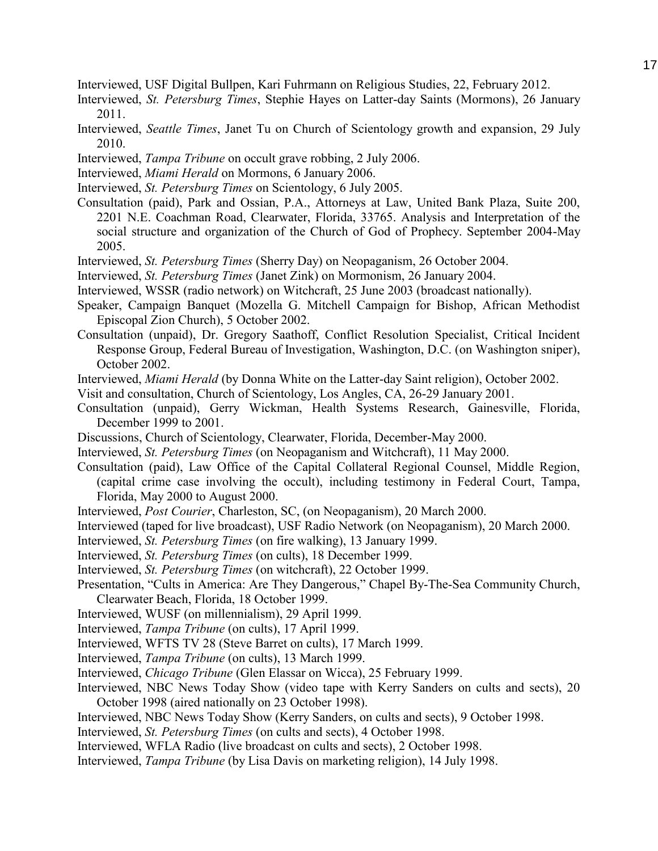Interviewed, USF Digital Bullpen, Kari Fuhrmann on Religious Studies, 22, February 2012.

- Interviewed, *St. Petersburg Times*, Stephie Hayes on Latter-day Saints (Mormons), 26 January 2011.
- Interviewed, *Seattle Times*, Janet Tu on Church of Scientology growth and expansion, 29 July 2010.
- Interviewed, *Tampa Tribune* on occult grave robbing, 2 July 2006.
- Interviewed, *Miami Herald* on Mormons, 6 January 2006.
- Interviewed, *St. Petersburg Times* on Scientology, 6 July 2005.
- Consultation (paid), Park and Ossian, P.A., Attorneys at Law, United Bank Plaza, Suite 200, 2201 N.E. Coachman Road, Clearwater, Florida, 33765. Analysis and Interpretation of the social structure and organization of the Church of God of Prophecy. September 2004-May 2005.
- Interviewed, *St. Petersburg Times* (Sherry Day) on Neopaganism, 26 October 2004.
- Interviewed, *St. Petersburg Times* (Janet Zink) on Mormonism, 26 January 2004.
- Interviewed, WSSR (radio network) on Witchcraft, 25 June 2003 (broadcast nationally).
- Speaker, Campaign Banquet (Mozella G. Mitchell Campaign for Bishop, African Methodist Episcopal Zion Church), 5 October 2002.
- Consultation (unpaid), Dr. Gregory Saathoff, Conflict Resolution Specialist, Critical Incident Response Group, Federal Bureau of Investigation, Washington, D.C. (on Washington sniper), October 2002.
- Interviewed, *Miami Herald* (by Donna White on the Latter-day Saint religion), October 2002.
- Visit and consultation, Church of Scientology, Los Angles, CA, 26-29 January 2001.
- Consultation (unpaid), Gerry Wickman, Health Systems Research, Gainesville, Florida, December 1999 to 2001.
- Discussions, Church of Scientology, Clearwater, Florida, December-May 2000.
- Interviewed, *St. Petersburg Times* (on Neopaganism and Witchcraft), 11 May 2000.
- Consultation (paid), Law Office of the Capital Collateral Regional Counsel, Middle Region, (capital crime case involving the occult), including testimony in Federal Court, Tampa, Florida, May 2000 to August 2000.
- Interviewed, *Post Courier*, Charleston, SC, (on Neopaganism), 20 March 2000.
- Interviewed (taped for live broadcast), USF Radio Network (on Neopaganism), 20 March 2000.
- Interviewed, *St. Petersburg Times* (on fire walking), 13 January 1999.
- Interviewed, *St. Petersburg Times* (on cults), 18 December 1999.
- Interviewed, *St. Petersburg Times* (on witchcraft), 22 October 1999.
- Presentation, "Cults in America: Are They Dangerous," Chapel By-The-Sea Community Church, Clearwater Beach, Florida, 18 October 1999.
- Interviewed, WUSF (on millennialism), 29 April 1999.
- Interviewed, *Tampa Tribune* (on cults), 17 April 1999.
- Interviewed, WFTS TV 28 (Steve Barret on cults), 17 March 1999.
- Interviewed, *Tampa Tribune* (on cults), 13 March 1999.
- Interviewed, *Chicago Tribune* (Glen Elassar on Wicca), 25 February 1999.
- Interviewed, NBC News Today Show (video tape with Kerry Sanders on cults and sects), 20 October 1998 (aired nationally on 23 October 1998).
- Interviewed, NBC News Today Show (Kerry Sanders, on cults and sects), 9 October 1998.
- Interviewed, *St. Petersburg Times* (on cults and sects), 4 October 1998.
- Interviewed, WFLA Radio (live broadcast on cults and sects), 2 October 1998.
- Interviewed, *Tampa Tribune* (by Lisa Davis on marketing religion), 14 July 1998.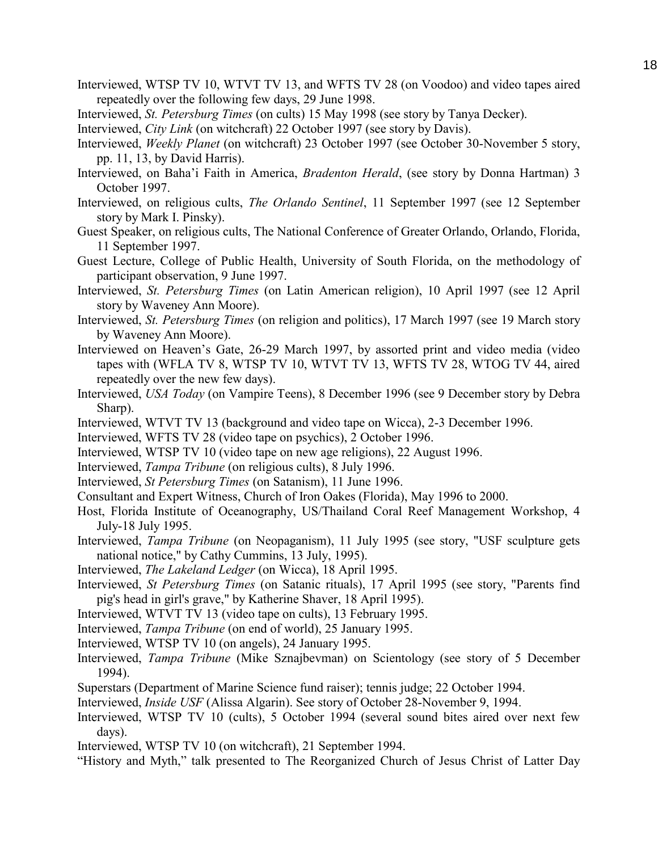- Interviewed, WTSP TV 10, WTVT TV 13, and WFTS TV 28 (on Voodoo) and video tapes aired repeatedly over the following few days, 29 June 1998.
- Interviewed, *St. Petersburg Times* (on cults) 15 May 1998 (see story by Tanya Decker).

Interviewed, *City Link* (on witchcraft) 22 October 1997 (see story by Davis).

- Interviewed, *Weekly Planet* (on witchcraft) 23 October 1997 (see October 30-November 5 story, pp. 11, 13, by David Harris).
- Interviewed, on Baha'i Faith in America, *Bradenton Herald*, (see story by Donna Hartman) 3 October 1997.
- Interviewed, on religious cults, *The Orlando Sentinel*, 11 September 1997 (see 12 September story by Mark I. Pinsky).
- Guest Speaker, on religious cults, The National Conference of Greater Orlando, Orlando, Florida, 11 September 1997.
- Guest Lecture, College of Public Health, University of South Florida, on the methodology of participant observation, 9 June 1997.
- Interviewed, *St. Petersburg Times* (on Latin American religion), 10 April 1997 (see 12 April story by Waveney Ann Moore).
- Interviewed, *St. Petersburg Times* (on religion and politics), 17 March 1997 (see 19 March story by Waveney Ann Moore).
- Interviewed on Heaven's Gate, 26-29 March 1997, by assorted print and video media (video tapes with (WFLA TV 8, WTSP TV 10, WTVT TV 13, WFTS TV 28, WTOG TV 44, aired repeatedly over the new few days).
- Interviewed, *USA Today* (on Vampire Teens), 8 December 1996 (see 9 December story by Debra Sharp).
- Interviewed, WTVT TV 13 (background and video tape on Wicca), 2-3 December 1996.
- Interviewed, WFTS TV 28 (video tape on psychics), 2 October 1996.
- Interviewed, WTSP TV 10 (video tape on new age religions), 22 August 1996.
- Interviewed, *Tampa Tribune* (on religious cults), 8 July 1996.
- Interviewed, *St Petersburg Times* (on Satanism), 11 June 1996.
- Consultant and Expert Witness, Church of Iron Oakes (Florida), May 1996 to 2000.
- Host, Florida Institute of Oceanography, US/Thailand Coral Reef Management Workshop, 4 July-18 July 1995.
- Interviewed, *Tampa Tribune* (on Neopaganism), 11 July 1995 (see story, "USF sculpture gets national notice," by Cathy Cummins, 13 July, 1995).
- Interviewed, *The Lakeland Ledger* (on Wicca), 18 April 1995.
- Interviewed, *St Petersburg Times* (on Satanic rituals), 17 April 1995 (see story, "Parents find pig's head in girl's grave," by Katherine Shaver, 18 April 1995).
- Interviewed, WTVT TV 13 (video tape on cults), 13 February 1995.
- Interviewed, *Tampa Tribune* (on end of world), 25 January 1995.
- Interviewed, WTSP TV 10 (on angels), 24 January 1995.
- Interviewed, *Tampa Tribune* (Mike Sznajbevman) on Scientology (see story of 5 December 1994).
- Superstars (Department of Marine Science fund raiser); tennis judge; 22 October 1994.
- Interviewed, *Inside USF* (Alissa Algarin). See story of October 28-November 9, 1994.
- Interviewed, WTSP TV 10 (cults), 5 October 1994 (several sound bites aired over next few days).
- Interviewed, WTSP TV 10 (on witchcraft), 21 September 1994.
- "History and Myth," talk presented to The Reorganized Church of Jesus Christ of Latter Day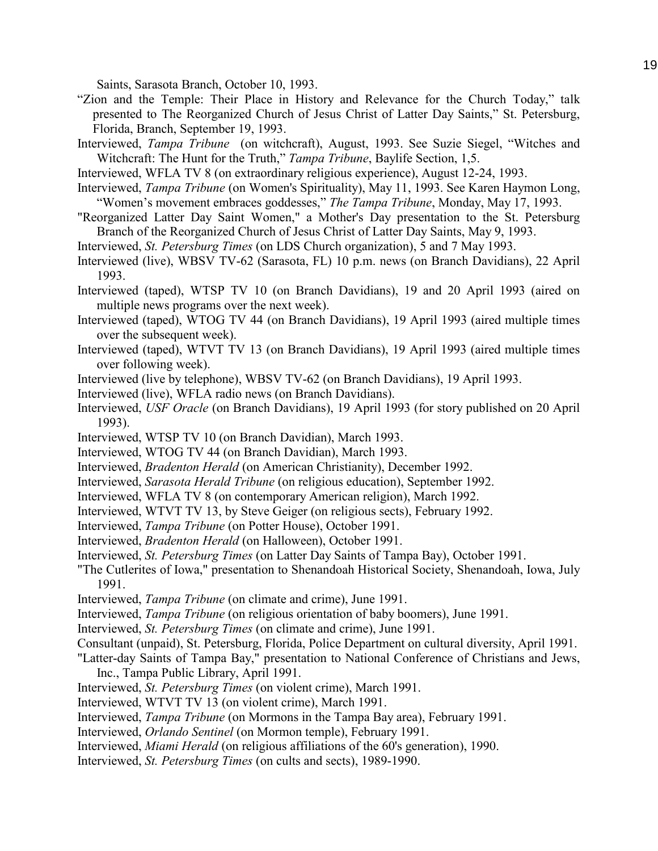Saints, Sarasota Branch, October 10, 1993.

- "Zion and the Temple: Their Place in History and Relevance for the Church Today," talk presented to The Reorganized Church of Jesus Christ of Latter Day Saints," St. Petersburg, Florida, Branch, September 19, 1993.
- Interviewed, *Tampa Tribune* (on witchcraft), August, 1993. See Suzie Siegel, "Witches and Witchcraft: The Hunt for the Truth," *Tampa Tribune*, Baylife Section, 1,5.
- Interviewed, WFLA TV 8 (on extraordinary religious experience), August 12-24, 1993.
- Interviewed, *Tampa Tribune* (on Women's Spirituality), May 11, 1993. See Karen Haymon Long, "Women's movement embraces goddesses," *The Tampa Tribune*, Monday, May 17, 1993.
- "Reorganized Latter Day Saint Women," a Mother's Day presentation to the St. Petersburg Branch of the Reorganized Church of Jesus Christ of Latter Day Saints, May 9, 1993.
- Interviewed, *St. Petersburg Times* (on LDS Church organization), 5 and 7 May 1993.
- Interviewed (live), WBSV TV-62 (Sarasota, FL) 10 p.m. news (on Branch Davidians), 22 April 1993.
- Interviewed (taped), WTSP TV 10 (on Branch Davidians), 19 and 20 April 1993 (aired on multiple news programs over the next week).
- Interviewed (taped), WTOG TV 44 (on Branch Davidians), 19 April 1993 (aired multiple times over the subsequent week).
- Interviewed (taped), WTVT TV 13 (on Branch Davidians), 19 April 1993 (aired multiple times over following week).
- Interviewed (live by telephone), WBSV TV-62 (on Branch Davidians), 19 April 1993.
- Interviewed (live), WFLA radio news (on Branch Davidians).
- Interviewed, *USF Oracle* (on Branch Davidians), 19 April 1993 (for story published on 20 April 1993).
- Interviewed, WTSP TV 10 (on Branch Davidian), March 1993.
- Interviewed, WTOG TV 44 (on Branch Davidian), March 1993.
- Interviewed, *Bradenton Herald* (on American Christianity), December 1992.
- Interviewed, *Sarasota Herald Tribune* (on religious education), September 1992.
- Interviewed, WFLA TV 8 (on contemporary American religion), March 1992.
- Interviewed, WTVT TV 13, by Steve Geiger (on religious sects), February 1992.
- Interviewed, *Tampa Tribune* (on Potter House), October 1991.
- Interviewed, *Bradenton Herald* (on Halloween), October 1991.
- Interviewed, *St. Petersburg Times* (on Latter Day Saints of Tampa Bay), October 1991.
- "The Cutlerites of Iowa," presentation to Shenandoah Historical Society, Shenandoah, Iowa, July 1991.
- Interviewed, *Tampa Tribune* (on climate and crime), June 1991.
- Interviewed, *Tampa Tribune* (on religious orientation of baby boomers), June 1991.
- Interviewed, *St. Petersburg Times* (on climate and crime), June 1991.
- Consultant (unpaid), St. Petersburg, Florida, Police Department on cultural diversity, April 1991.
- "Latter-day Saints of Tampa Bay," presentation to National Conference of Christians and Jews, Inc., Tampa Public Library, April 1991.
- Interviewed, *St. Petersburg Times* (on violent crime), March 1991.
- Interviewed, WTVT TV 13 (on violent crime), March 1991.
- Interviewed, *Tampa Tribune* (on Mormons in the Tampa Bay area), February 1991.
- Interviewed, *Orlando Sentinel* (on Mormon temple), February 1991.
- Interviewed, *Miami Herald* (on religious affiliations of the 60's generation), 1990.
- Interviewed, *St. Petersburg Times* (on cults and sects), 1989-1990.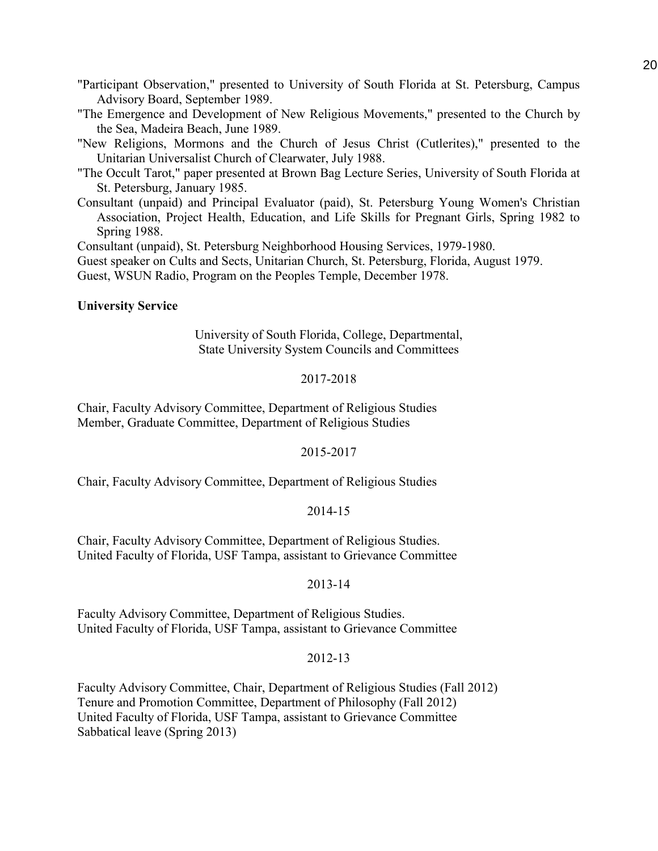"Participant Observation," presented to University of South Florida at St. Petersburg, Campus Advisory Board, September 1989.

"The Emergence and Development of New Religious Movements," presented to the Church by the Sea, Madeira Beach, June 1989.

"New Religions, Mormons and the Church of Jesus Christ (Cutlerites)," presented to the Unitarian Universalist Church of Clearwater, July 1988.

"The Occult Tarot," paper presented at Brown Bag Lecture Series, University of South Florida at St. Petersburg, January 1985.

Consultant (unpaid) and Principal Evaluator (paid), St. Petersburg Young Women's Christian Association, Project Health, Education, and Life Skills for Pregnant Girls, Spring 1982 to Spring 1988.

Consultant (unpaid), St. Petersburg Neighborhood Housing Services, 1979-1980.

Guest speaker on Cults and Sects, Unitarian Church, St. Petersburg, Florida, August 1979.

Guest, WSUN Radio, Program on the Peoples Temple, December 1978.

## **University Service**

University of South Florida, College, Departmental, State University System Councils and Committees

# 2017-2018

Chair, Faculty Advisory Committee, Department of Religious Studies Member, Graduate Committee, Department of Religious Studies

# 2015-2017

Chair, Faculty Advisory Committee, Department of Religious Studies

# 2014-15

Chair, Faculty Advisory Committee, Department of Religious Studies. United Faculty of Florida, USF Tampa, assistant to Grievance Committee

# 2013-14

Faculty Advisory Committee, Department of Religious Studies. United Faculty of Florida, USF Tampa, assistant to Grievance Committee

# 2012-13

Faculty Advisory Committee, Chair, Department of Religious Studies (Fall 2012) Tenure and Promotion Committee, Department of Philosophy (Fall 2012) United Faculty of Florida, USF Tampa, assistant to Grievance Committee Sabbatical leave (Spring 2013)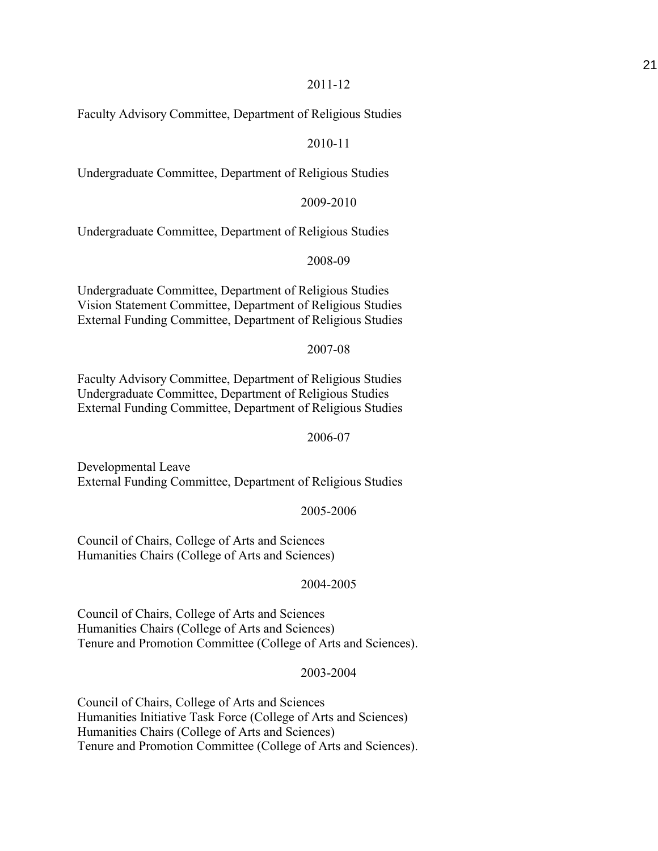Faculty Advisory Committee, Department of Religious Studies

# 2010-11

Undergraduate Committee, Department of Religious Studies

2009-2010

Undergraduate Committee, Department of Religious Studies

2008-09

Undergraduate Committee, Department of Religious Studies Vision Statement Committee, Department of Religious Studies External Funding Committee, Department of Religious Studies

#### 2007-08

Faculty Advisory Committee, Department of Religious Studies Undergraduate Committee, Department of Religious Studies External Funding Committee, Department of Religious Studies

## 2006-07

Developmental Leave External Funding Committee, Department of Religious Studies

#### 2005-2006

Council of Chairs, College of Arts and Sciences Humanities Chairs (College of Arts and Sciences)

## 2004-2005

Council of Chairs, College of Arts and Sciences Humanities Chairs (College of Arts and Sciences) Tenure and Promotion Committee (College of Arts and Sciences).

## 2003-2004

Council of Chairs, College of Arts and Sciences Humanities Initiative Task Force (College of Arts and Sciences) Humanities Chairs (College of Arts and Sciences) Tenure and Promotion Committee (College of Arts and Sciences).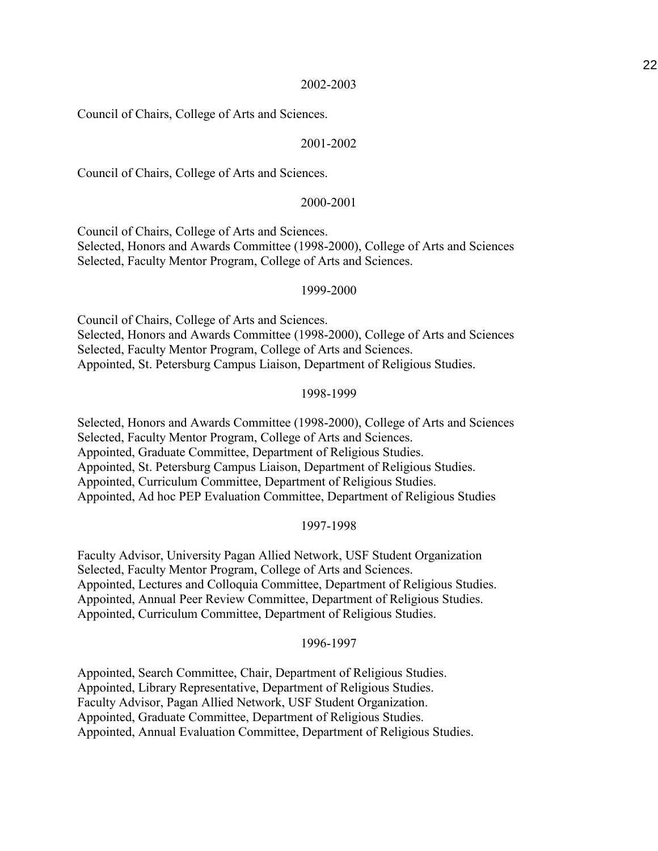Council of Chairs, College of Arts and Sciences.

## 2001-2002

Council of Chairs, College of Arts and Sciences.

## 2000-2001

Council of Chairs, College of Arts and Sciences. Selected, Honors and Awards Committee (1998-2000), College of Arts and Sciences Selected, Faculty Mentor Program, College of Arts and Sciences.

## 1999-2000

Council of Chairs, College of Arts and Sciences. Selected, Honors and Awards Committee (1998-2000), College of Arts and Sciences Selected, Faculty Mentor Program, College of Arts and Sciences. Appointed, St. Petersburg Campus Liaison, Department of Religious Studies.

#### 1998-1999

Selected, Honors and Awards Committee (1998-2000), College of Arts and Sciences Selected, Faculty Mentor Program, College of Arts and Sciences. Appointed, Graduate Committee, Department of Religious Studies. Appointed, St. Petersburg Campus Liaison, Department of Religious Studies. Appointed, Curriculum Committee, Department of Religious Studies. Appointed, Ad hoc PEP Evaluation Committee, Department of Religious Studies

## 1997-1998

Faculty Advisor, University Pagan Allied Network, USF Student Organization Selected, Faculty Mentor Program, College of Arts and Sciences. Appointed, Lectures and Colloquia Committee, Department of Religious Studies. Appointed, Annual Peer Review Committee, Department of Religious Studies. Appointed, Curriculum Committee, Department of Religious Studies.

#### 1996-1997

Appointed, Search Committee, Chair, Department of Religious Studies. Appointed, Library Representative, Department of Religious Studies. Faculty Advisor, Pagan Allied Network, USF Student Organization. Appointed, Graduate Committee, Department of Religious Studies. Appointed, Annual Evaluation Committee, Department of Religious Studies.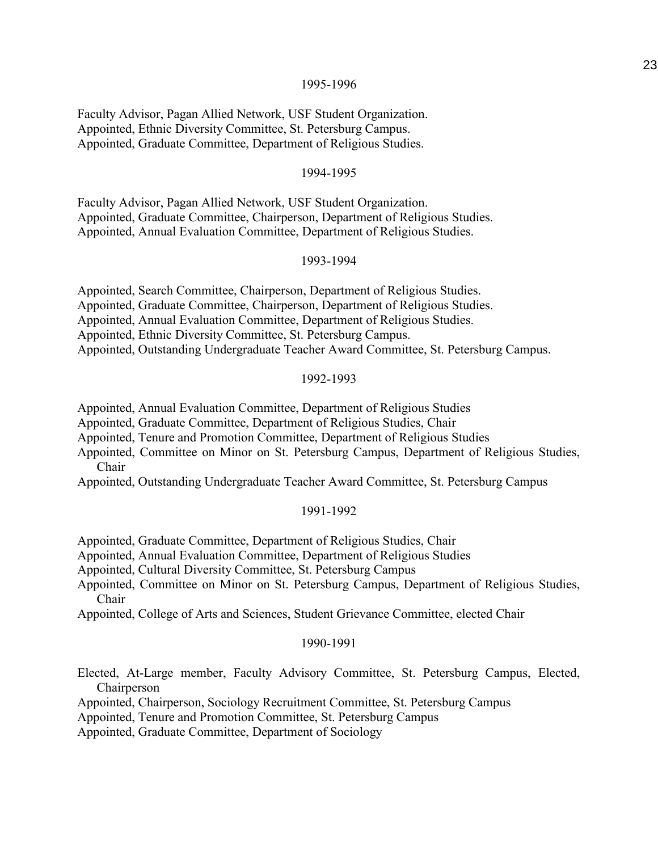Faculty Advisor, Pagan Allied Network, USF Student Organization. Appointed, Ethnic Diversity Committee, St. Petersburg Campus. Appointed, Graduate Committee, Department of Religious Studies.

## 1994-1995

Faculty Advisor, Pagan Allied Network, USF Student Organization. Appointed, Graduate Committee, Chairperson, Department of Religious Studies. Appointed, Annual Evaluation Committee, Department of Religious Studies.

#### 1993-1994

Appointed, Search Committee, Chairperson, Department of Religious Studies.

Appointed, Graduate Committee, Chairperson, Department of Religious Studies.

Appointed, Annual Evaluation Committee, Department of Religious Studies.

Appointed, Ethnic Diversity Committee, St. Petersburg Campus.

Appointed, Outstanding Undergraduate Teacher Award Committee, St. Petersburg Campus.

## 1992-1993

Appointed, Annual Evaluation Committee, Department of Religious Studies

Appointed, Graduate Committee, Department of Religious Studies, Chair

Appointed, Tenure and Promotion Committee, Department of Religious Studies

Appointed, Committee on Minor on St. Petersburg Campus, Department of Religious Studies, Chair

Appointed, Outstanding Undergraduate Teacher Award Committee, St. Petersburg Campus

#### 1991-1992

Appointed, Graduate Committee, Department of Religious Studies, Chair

Appointed, Annual Evaluation Committee, Department of Religious Studies

Appointed, Cultural Diversity Committee, St. Petersburg Campus

Appointed, Committee on Minor on St. Petersburg Campus, Department of Religious Studies, Chair

Appointed, College of Arts and Sciences, Student Grievance Committee, elected Chair

#### 1990-1991

Elected, At-Large member, Faculty Advisory Committee, St. Petersburg Campus, Elected, **Chairperson** 

Appointed, Chairperson, Sociology Recruitment Committee, St. Petersburg Campus

Appointed, Tenure and Promotion Committee, St. Petersburg Campus

Appointed, Graduate Committee, Department of Sociology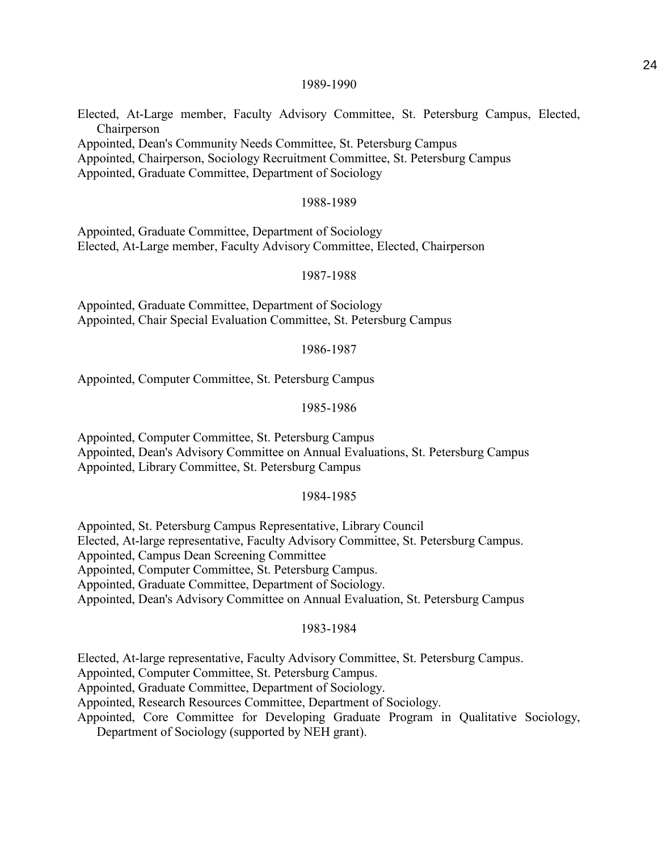Elected, At-Large member, Faculty Advisory Committee, St. Petersburg Campus, Elected, Chairperson

Appointed, Dean's Community Needs Committee, St. Petersburg Campus

Appointed, Chairperson, Sociology Recruitment Committee, St. Petersburg Campus

Appointed, Graduate Committee, Department of Sociology

#### 1988-1989

Appointed, Graduate Committee, Department of Sociology Elected, At-Large member, Faculty Advisory Committee, Elected, Chairperson

#### 1987-1988

Appointed, Graduate Committee, Department of Sociology Appointed, Chair Special Evaluation Committee, St. Petersburg Campus

#### 1986-1987

Appointed, Computer Committee, St. Petersburg Campus

#### 1985-1986

Appointed, Computer Committee, St. Petersburg Campus Appointed, Dean's Advisory Committee on Annual Evaluations, St. Petersburg Campus Appointed, Library Committee, St. Petersburg Campus

#### 1984-1985

Appointed, St. Petersburg Campus Representative, Library Council

Elected, At-large representative, Faculty Advisory Committee, St. Petersburg Campus.

Appointed, Campus Dean Screening Committee

Appointed, Computer Committee, St. Petersburg Campus.

Appointed, Graduate Committee, Department of Sociology.

Appointed, Dean's Advisory Committee on Annual Evaluation, St. Petersburg Campus

#### 1983-1984

Elected, At-large representative, Faculty Advisory Committee, St. Petersburg Campus.

Appointed, Computer Committee, St. Petersburg Campus.

Appointed, Graduate Committee, Department of Sociology.

Appointed, Research Resources Committee, Department of Sociology.

Appointed, Core Committee for Developing Graduate Program in Qualitative Sociology, Department of Sociology (supported by NEH grant).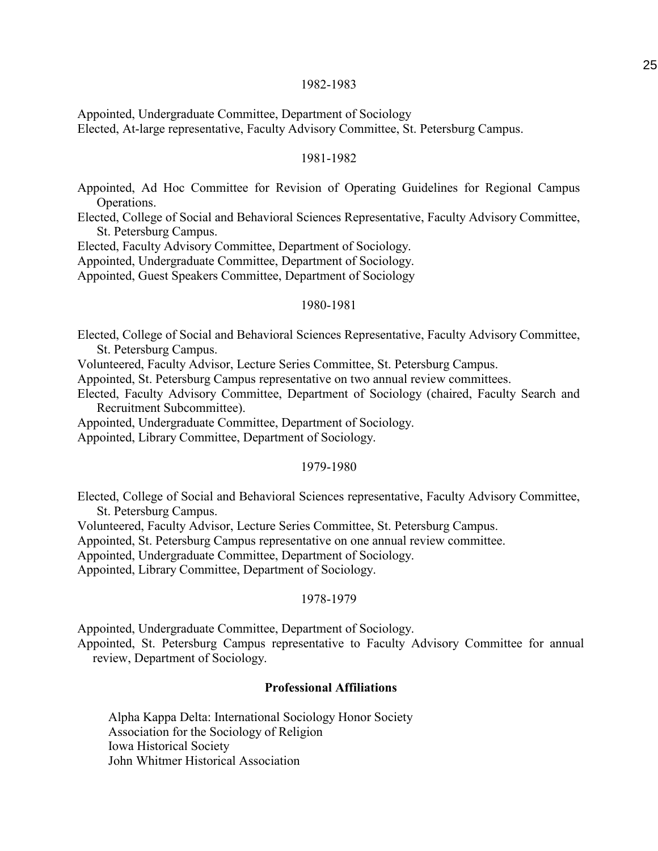Appointed, Undergraduate Committee, Department of Sociology Elected, At-large representative, Faculty Advisory Committee, St. Petersburg Campus.

#### 1981-1982

Appointed, Ad Hoc Committee for Revision of Operating Guidelines for Regional Campus Operations.

Elected, College of Social and Behavioral Sciences Representative, Faculty Advisory Committee, St. Petersburg Campus.

Elected, Faculty Advisory Committee, Department of Sociology.

Appointed, Undergraduate Committee, Department of Sociology.

Appointed, Guest Speakers Committee, Department of Sociology

#### 1980-1981

Elected, College of Social and Behavioral Sciences Representative, Faculty Advisory Committee, St. Petersburg Campus.

Volunteered, Faculty Advisor, Lecture Series Committee, St. Petersburg Campus.

Appointed, St. Petersburg Campus representative on two annual review committees.

Elected, Faculty Advisory Committee, Department of Sociology (chaired, Faculty Search and Recruitment Subcommittee).

Appointed, Undergraduate Committee, Department of Sociology.

Appointed, Library Committee, Department of Sociology.

## 1979-1980

Elected, College of Social and Behavioral Sciences representative, Faculty Advisory Committee, St. Petersburg Campus.

Volunteered, Faculty Advisor, Lecture Series Committee, St. Petersburg Campus.

Appointed, St. Petersburg Campus representative on one annual review committee.

Appointed, Undergraduate Committee, Department of Sociology.

Appointed, Library Committee, Department of Sociology.

#### 1978-1979

Appointed, Undergraduate Committee, Department of Sociology.

Appointed, St. Petersburg Campus representative to Faculty Advisory Committee for annual review, Department of Sociology.

## **Professional Affiliations**

Alpha Kappa Delta: International Sociology Honor Society Association for the Sociology of Religion Iowa Historical Society John Whitmer Historical Association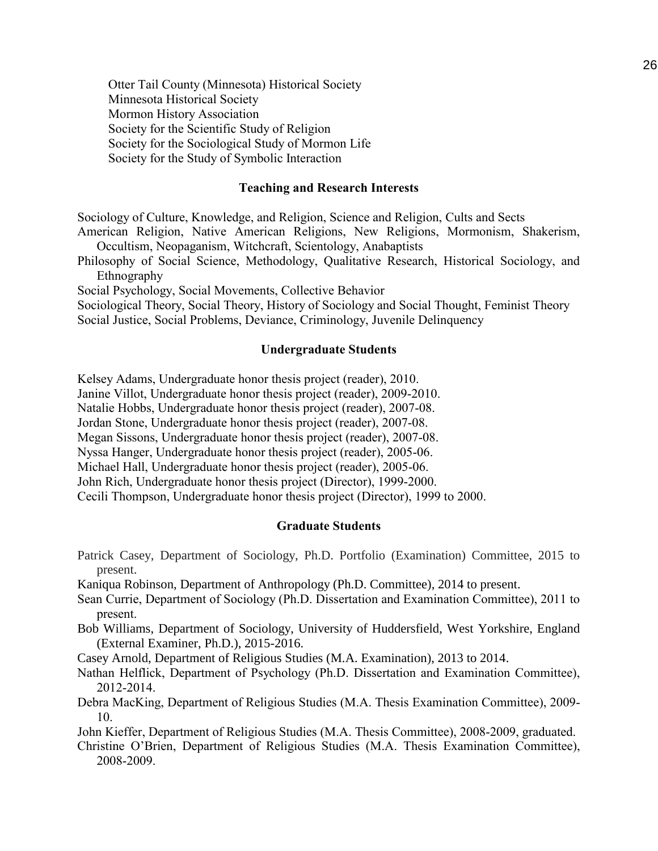Otter Tail County (Minnesota) Historical Society Minnesota Historical Society Mormon History Association Society for the Scientific Study of Religion Society for the Sociological Study of Mormon Life Society for the Study of Symbolic Interaction

#### **Teaching and Research Interests**

Sociology of Culture, Knowledge, and Religion, Science and Religion, Cults and Sects

American Religion, Native American Religions, New Religions, Mormonism, Shakerism, Occultism, Neopaganism, Witchcraft, Scientology, Anabaptists

Philosophy of Social Science, Methodology, Qualitative Research, Historical Sociology, and Ethnography

Social Psychology, Social Movements, Collective Behavior

Sociological Theory, Social Theory, History of Sociology and Social Thought, Feminist Theory Social Justice, Social Problems, Deviance, Criminology, Juvenile Delinquency

## **Undergraduate Students**

Kelsey Adams, Undergraduate honor thesis project (reader), 2010.

Janine Villot, Undergraduate honor thesis project (reader), 2009-2010.

Natalie Hobbs, Undergraduate honor thesis project (reader), 2007-08.

Jordan Stone, Undergraduate honor thesis project (reader), 2007-08.

Megan Sissons, Undergraduate honor thesis project (reader), 2007-08.

Nyssa Hanger, Undergraduate honor thesis project (reader), 2005-06.

Michael Hall, Undergraduate honor thesis project (reader), 2005-06.

John Rich, Undergraduate honor thesis project (Director), 1999-2000.

Cecili Thompson, Undergraduate honor thesis project (Director), 1999 to 2000.

## **Graduate Students**

Patrick Casey, Department of Sociology, Ph.D. Portfolio (Examination) Committee, 2015 to present.

Kaniqua Robinson, Department of Anthropology (Ph.D. Committee), 2014 to present.

- Sean Currie, Department of Sociology (Ph.D. Dissertation and Examination Committee), 2011 to present.
- Bob Williams, Department of Sociology, University of Huddersfield, West Yorkshire, England (External Examiner, Ph.D.), 2015-2016.
- Casey Arnold, Department of Religious Studies (M.A. Examination), 2013 to 2014.
- Nathan Helflick, Department of Psychology (Ph.D. Dissertation and Examination Committee), 2012-2014.
- Debra MacKing, Department of Religious Studies (M.A. Thesis Examination Committee), 2009- 10.

John Kieffer, Department of Religious Studies (M.A. Thesis Committee), 2008-2009, graduated.

Christine O'Brien, Department of Religious Studies (M.A. Thesis Examination Committee), 2008-2009.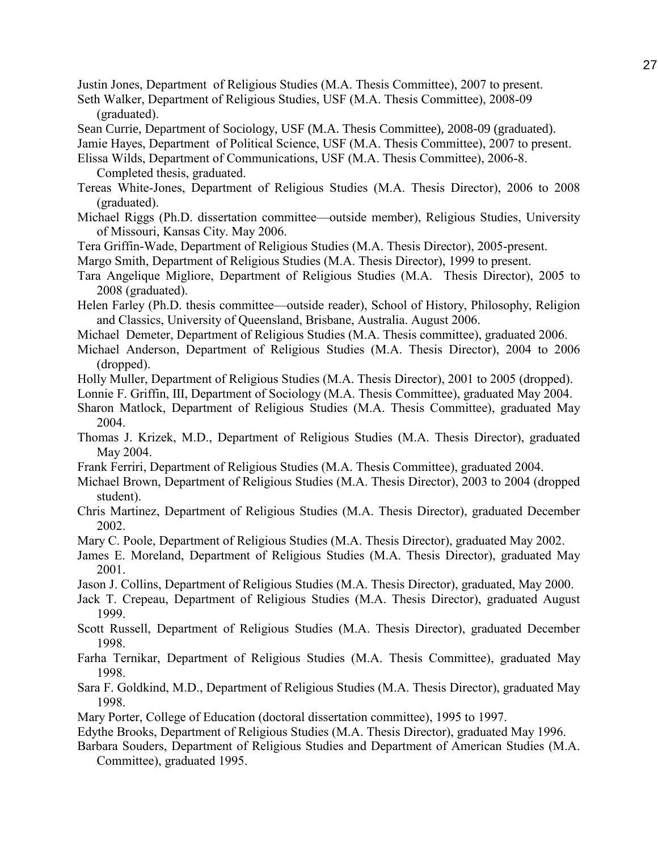Justin Jones, Department of Religious Studies (M.A. Thesis Committee), 2007 to present.

- Seth Walker, Department of Religious Studies, USF (M.A. Thesis Committee), 2008-09 (graduated).
- Sean Currie, Department of Sociology, USF (M.A. Thesis Committee), 2008-09 (graduated).
- Jamie Hayes, Department of Political Science, USF (M.A. Thesis Committee), 2007 to present.
- Elissa Wilds, Department of Communications, USF (M.A. Thesis Committee), 2006-8. Completed thesis, graduated.
- Tereas White-Jones, Department of Religious Studies (M.A. Thesis Director), 2006 to 2008 (graduated).
- Michael Riggs (Ph.D. dissertation committee—outside member), Religious Studies, University of Missouri, Kansas City. May 2006.
- Tera Griffin-Wade, Department of Religious Studies (M.A. Thesis Director), 2005-present.
- Margo Smith, Department of Religious Studies (M.A. Thesis Director), 1999 to present.
- Tara Angelique Migliore, Department of Religious Studies (M.A. Thesis Director), 2005 to 2008 (graduated).
- Helen Farley (Ph.D. thesis committee—outside reader), School of History, Philosophy, Religion and Classics, University of Queensland, Brisbane, Australia. August 2006.
- Michael Demeter, Department of Religious Studies (M.A. Thesis committee), graduated 2006.
- Michael Anderson, Department of Religious Studies (M.A. Thesis Director), 2004 to 2006 (dropped).
- Holly Muller, Department of Religious Studies (M.A. Thesis Director), 2001 to 2005 (dropped).
- Lonnie F. Griffin, III, Department of Sociology (M.A. Thesis Committee), graduated May 2004.
- Sharon Matlock, Department of Religious Studies (M.A. Thesis Committee), graduated May 2004.
- Thomas J. Krizek, M.D., Department of Religious Studies (M.A. Thesis Director), graduated May 2004.
- Frank Ferriri, Department of Religious Studies (M.A. Thesis Committee), graduated 2004.
- Michael Brown, Department of Religious Studies (M.A. Thesis Director), 2003 to 2004 (dropped student).
- Chris Martinez, Department of Religious Studies (M.A. Thesis Director), graduated December 2002.
- Mary C. Poole, Department of Religious Studies (M.A. Thesis Director), graduated May 2002.
- James E. Moreland, Department of Religious Studies (M.A. Thesis Director), graduated May 2001.
- Jason J. Collins, Department of Religious Studies (M.A. Thesis Director), graduated, May 2000.
- Jack T. Crepeau, Department of Religious Studies (M.A. Thesis Director), graduated August 1999.
- Scott Russell, Department of Religious Studies (M.A. Thesis Director), graduated December 1998.
- Farha Ternikar, Department of Religious Studies (M.A. Thesis Committee), graduated May 1998.
- Sara F. Goldkind, M.D., Department of Religious Studies (M.A. Thesis Director), graduated May 1998.
- Mary Porter, College of Education (doctoral dissertation committee), 1995 to 1997.
- Edythe Brooks, Department of Religious Studies (M.A. Thesis Director), graduated May 1996.
- Barbara Souders, Department of Religious Studies and Department of American Studies (M.A. Committee), graduated 1995.